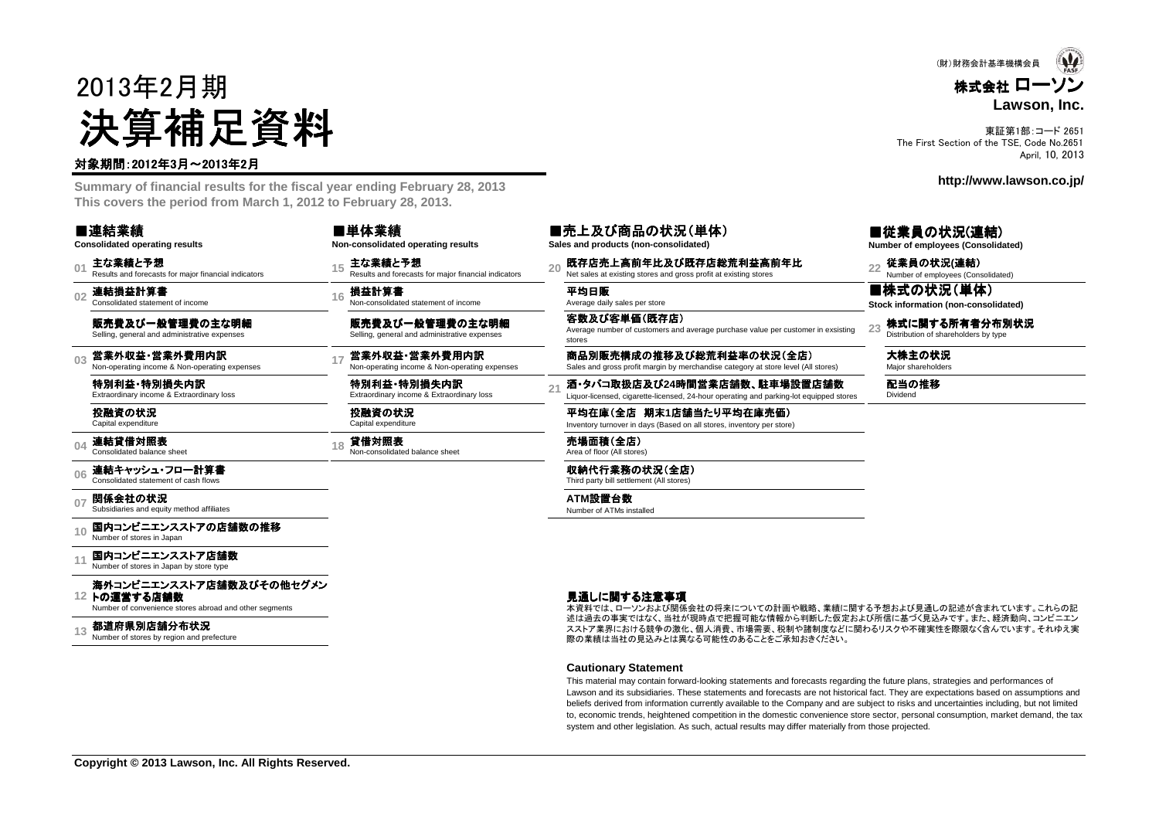# 2013年2月期決算補足資料

#### 対象期間:2012年3月~2013年2月

 **Summary of financial results for the fiscal year ending February 28, 2013This covers the period from March 1, 2012 to February 28, 2013.**

| ■連結業績                                 |  |
|---------------------------------------|--|
| <b>Consolidated operating results</b> |  |

■単体業績**Non-consolidated ope** 

**01**主な業績と予想<br>Results and forecasts for major financial indicators

**02**連結損益計算書 Consolidated statement of income

販売費及び一般管理費の主な明細Selling, general and administrative expenses

**03**営業外収益・営業外費用内訳<br>Non-operating income & Non-operating expenses

特別利益・特別損失内訳<br><sub>Extraordinary income & Extraordi</sub> Extraordinary income & Extraordinary loss

投融資の状況Capital expenditure

**04**連結貸借対照表 Consolidated balance sheet

#### **06**連結キャッシュ・フロー計算書

**07関係会社の状況**<br>Subsidiaries and equity method affiliates

**10**国内コンビニエンスストアの店舗数の推移<br>Number of stores in Japan

#### **11**国内コンビニエンスストア店舗数

**12**トの運営する店舗数海外コンビニエンスストア店舗数及びその他セグメン<br>トの運営する店舗数

Number of convenience stores abroad and other segments

**Copyright © 2013 Lawson, Inc. All Rights Reserved.**

#### **13**都道府県別店舗分布状況<br>Number of stores by region and prefecture

| rating results                   | ■シヒエベい作<br>Sales and products |  |  |
|----------------------------------|-------------------------------|--|--|
| s for major financial indicators | 既存店売上高<br>Net sales at existi |  |  |

16 **損益計算書**<br>Non-consolidated statement of income Average daily sales per store

販売費及び一般管理費の主な明細Selling, general and administrative expenses

特別利益・特別損失内訳<br><sub>Extraordinary income & Extraordi</sub> Extraordinary income & Extraordinary loss

投融資の状況Capital expenditure

18 **貸借対照表 インスタック 売場面積(全店)**<br>Area of floor (All stores) Non-consolidated balance sheet **インスタック Area of floor (All stores)** 

■売上及び商品の状況(単体)

**Sales and products (non-consolidated)**

主な業績と予想<br>Results and forecasts for major financial indicators and had sales at existing stores and gross profit at existing stores and gross profit at existing stores and gross profit at existing stores and gross profit a

客数及び客単価(既存店) Average number of customers and average purchase value per customer in exsistingstores

**<sup>17</sup>** 営業外収益・営業外費用内訳 ・営業外費用内訳Non-operating income & Non-operating expenses 商品別販売構成の推移及び総荒利益率の状況(全店) Sales and gross profit margin by merchandise category at store level (All stores) 大株主の状況 Major shareholders

**<sup>21</sup>** 酒・タバコ取扱店及び**24**時間営業店舗数、駐車場設置店舗数 、駐車場設置店舗数 Liquor-licensed, cigarette-licensed, 24-hour operating and parking-lot equipped stores

平均在庫(全店 期末1店舗当たり平均在庫売価)<br>Inventory turnover in days (Based on all stores, inventory per store Inventory turnover in days (Based on all stores, inventory per store)

収納代行業務の状況(全店) Third party bill settlement (All stores)

**ATM**設置台数 Number of ATMs installed

見通しに関する注意事項

 述は過去の事実ではなく、当社が現時点で把握可能な情報から判断した仮定および所信に基づく見込みです。また、経済動向、コンビニエン本資料では、ローソンおよび関係会社の将来についての計画や戦略、業績に関する予想および見通しの記述が含まれています。これらの記 スストア業界における競争の激化、個人消費、市場需要、税制や諸制度などに関わるリスクや不確実性を際限なく含んでいます。それゆえ実際の業績は当社の見込みとは異なる可能性のあることをご承知おきください。

#### **Cautionary Statement**

 This material may contain forward-looking statements and forecasts regarding the future plans, strategies and performances of Lawson and its subsidiaries. These statements and forecasts are not historical fact. They are expectations based on assumptions and beliefs derived from information currently available to the Company and are subject to risks and uncertainties including, but not limited to, economic trends, heightened competition in the domestic convenience store sector, personal consumption, market demand, the taxsystem and other legislation. As such, actual results may differ materially from those projected.

**Number of employees (Consolidated)**

■従業員の状況(連結)

■株式の状況(単体)

**23**株式に関する所有者分布別状況<br>Distribution of shareholders by type **Stock information (non-consolidated)**

配当の推移<br>Dividend

株式会社 ローソン **Lawson, Inc.**(財)財務会計基準機構会員

東証第1部:コード 2651 The First Section of the TSE, Code No.2651April, 10, 2013

**http://www.lawson.co.jp/**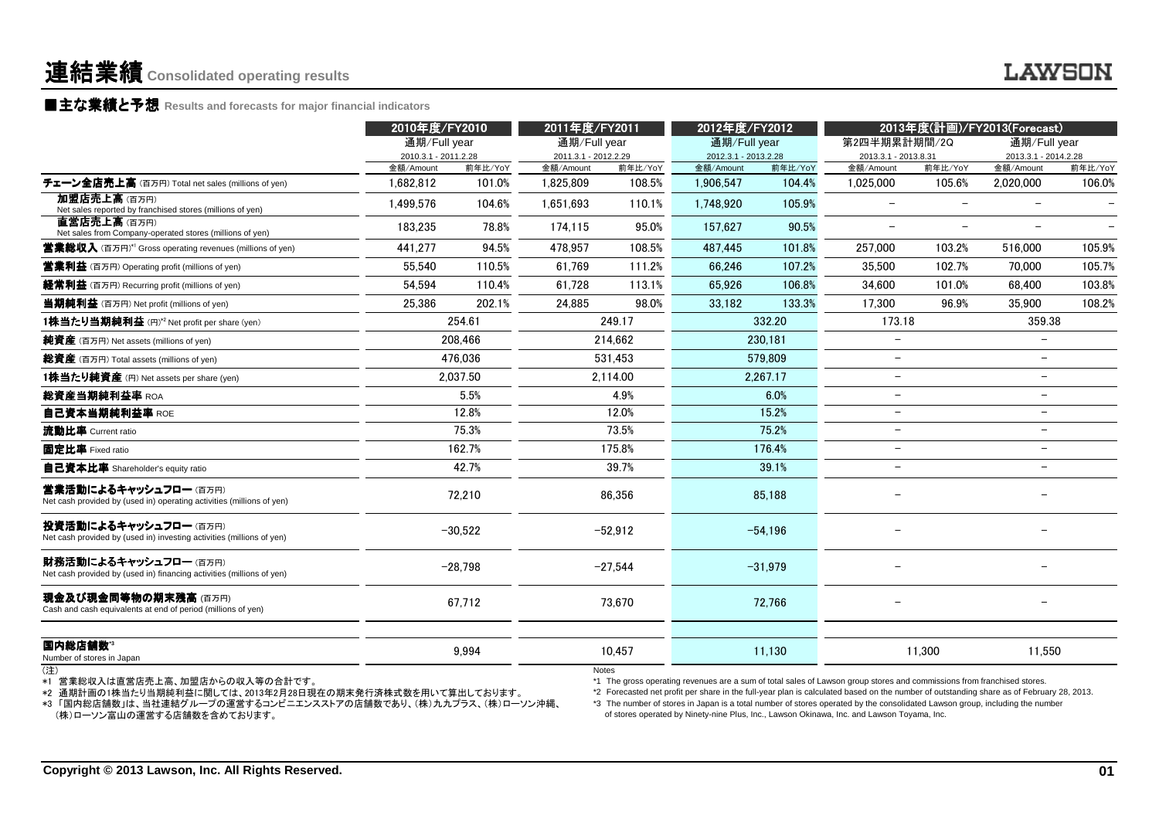### 連結業績**Consolidated operating results**

■主な業績と予想 Results and forecasts for major financial indicators<br>————————————————————

|                                                                                                                                                                                                       | 2010年度/FY2010<br>通期/Full year |                   |                        | 2011年度/FY2011<br>2012年度/FY2012<br>通期/Full year<br>通期/Full year |                                                                                                                                                                                                                                                                                                                                                                                                                                                                                                   | 2013年度(計画)/FY2013(Forecast)<br>第2四半期累計期間/2Q<br>通期/Full year |                          |                          |                          |                   |
|-------------------------------------------------------------------------------------------------------------------------------------------------------------------------------------------------------|-------------------------------|-------------------|------------------------|----------------------------------------------------------------|---------------------------------------------------------------------------------------------------------------------------------------------------------------------------------------------------------------------------------------------------------------------------------------------------------------------------------------------------------------------------------------------------------------------------------------------------------------------------------------------------|-------------------------------------------------------------|--------------------------|--------------------------|--------------------------|-------------------|
|                                                                                                                                                                                                       | 2010.3.1 - 2011.2.28          |                   | 2011.3.1 - 2012.2.29   |                                                                | 2012.3.1 - 2013.2.28                                                                                                                                                                                                                                                                                                                                                                                                                                                                              |                                                             | 2013.3.1 - 2013.8.31     |                          | 2013.3.1 - 2014.2.28     |                   |
| チェーン全店売上高 (百万円) Total net sales (millions of yen)                                                                                                                                                     | 金額/Amount<br>1.682.812        | 前年比/YoY<br>101.0% | 金額/Amount<br>1.825.809 | 前年比/YoY<br>108.5%                                              | 金額/Amount<br>1,906,547                                                                                                                                                                                                                                                                                                                                                                                                                                                                            | 前年比/YoY<br>104.4%                                           | 金額/Amount<br>1.025.000   | 前年比/YoY<br>105.6%        | 金額/Amount<br>2.020.000   | 前年比/YoY<br>106.0% |
| 加盟店売上高(百万円)                                                                                                                                                                                           |                               |                   |                        |                                                                |                                                                                                                                                                                                                                                                                                                                                                                                                                                                                                   |                                                             | $\overline{\phantom{0}}$ | $\frac{1}{2}$            |                          |                   |
| Net sales reported by franchised stores (millions of yen)                                                                                                                                             | 1.499.576                     | 104.6%            | 1.651.693              | 110.1%                                                         | 1.748.920                                                                                                                                                                                                                                                                                                                                                                                                                                                                                         | 105.9%                                                      |                          |                          |                          |                   |
| 直営店売上高(百万円)<br>Net sales from Company-operated stores (millions of yen)                                                                                                                               | 183.235                       | 78.8%             | 174,115                | 95.0%                                                          | 157,627                                                                                                                                                                                                                                                                                                                                                                                                                                                                                           | 90.5%                                                       | $\overline{\phantom{0}}$ | $\overline{\phantom{0}}$ | $\overline{\phantom{0}}$ |                   |
| <b>営業総収入</b> (百万円)* <sup>1</sup> Gross operating revenues (millions of yen)                                                                                                                           | 441.277                       | 94.5%             | 478.957                | 108.5%                                                         | 487,445                                                                                                                                                                                                                                                                                                                                                                                                                                                                                           | 101.8%                                                      | 257.000                  | 103.2%                   | 516,000                  | 105.9%            |
| <b>営業利益</b> (百万円) Operating profit (millions of yen)                                                                                                                                                  | 55.540                        | 110.5%            | 61.769                 | 111.2%                                                         | 66.246                                                                                                                                                                                                                                                                                                                                                                                                                                                                                            | 107.2%                                                      | 35,500                   | 102.7%                   | 70,000                   | 105.7%            |
| <b>経常利益</b> (百万円) Recurring profit (millions of yen)                                                                                                                                                  | 54.594                        | 110.4%            | 61.728                 | 113.1%                                                         | 65.926                                                                                                                                                                                                                                                                                                                                                                                                                                                                                            | 106.8%                                                      | 34,600                   | 101.0%                   | 68,400                   | 103.8%            |
| <b>当期純利益</b> (百万円) Net profit (millions of yen)                                                                                                                                                       | 25,386                        | 202.1%            | 24,885                 | 98.0%                                                          | 33.182                                                                                                                                                                                                                                                                                                                                                                                                                                                                                            | 133.3%                                                      | 17,300                   | 96.9%                    | 35,900                   | 108.2%            |
| 1株当たり当期純利益 (円)* <sup>2</sup> Net profit per share (yen)                                                                                                                                               |                               | 254.61            |                        | 249.17                                                         |                                                                                                                                                                                                                                                                                                                                                                                                                                                                                                   | 332.20                                                      | 173.18                   |                          | 359.38                   |                   |
| <b>純資産</b> (百万円) Net assets (millions of yen)                                                                                                                                                         |                               | 208,466           |                        | 214.662                                                        |                                                                                                                                                                                                                                                                                                                                                                                                                                                                                                   | 230,181                                                     | $\overline{\phantom{0}}$ |                          |                          |                   |
| 総資産 (百万円) Total assets (millions of yen)                                                                                                                                                              |                               | 476.036           |                        | 531.453                                                        |                                                                                                                                                                                                                                                                                                                                                                                                                                                                                                   | 579.809                                                     | $\overline{\phantom{0}}$ |                          | $\overline{\phantom{a}}$ |                   |
| 1株当たり純資産 (円) Net assets per share (yen)                                                                                                                                                               |                               | 2,037.50          |                        | 2.114.00                                                       |                                                                                                                                                                                                                                                                                                                                                                                                                                                                                                   | 2.267.17                                                    | $\overline{a}$           |                          | $\overline{\phantom{0}}$ |                   |
| 総資産当期純利益率 ROA                                                                                                                                                                                         |                               | $5.5\%$           |                        | 4.9%                                                           |                                                                                                                                                                                                                                                                                                                                                                                                                                                                                                   | 6.0%                                                        | $\!-$                    |                          | $\overline{\phantom{0}}$ |                   |
| 自己資本当期純利益率 ROE                                                                                                                                                                                        |                               | 12.8%             |                        | 12.0%                                                          | 15.2%                                                                                                                                                                                                                                                                                                                                                                                                                                                                                             |                                                             | $\overline{\phantom{0}}$ |                          | $\overline{\phantom{m}}$ |                   |
| 流動比率 Current ratio                                                                                                                                                                                    |                               | 75.3%             |                        | 73.5%<br>75.2%                                                 |                                                                                                                                                                                                                                                                                                                                                                                                                                                                                                   |                                                             | $\overline{\phantom{0}}$ |                          | $\overline{a}$           |                   |
| 固定比率 Fixed ratio                                                                                                                                                                                      |                               | 162.7%            |                        | 175.8%                                                         | 176.4%                                                                                                                                                                                                                                                                                                                                                                                                                                                                                            |                                                             | $\overline{\phantom{m}}$ |                          | $\overline{\phantom{a}}$ |                   |
| 自己資本比率 Shareholder's equity ratio                                                                                                                                                                     |                               | 42.7%             |                        | 39.7%                                                          | 39.1%                                                                                                                                                                                                                                                                                                                                                                                                                                                                                             |                                                             | $\qquad \qquad -$        |                          | $\overline{\phantom{0}}$ |                   |
| 営業活動によるキャッシュフロー (百万円)<br>Net cash provided by (used in) operating activities (millions of yen)                                                                                                        |                               | 72,210            |                        | 86,356                                                         |                                                                                                                                                                                                                                                                                                                                                                                                                                                                                                   | 85,188                                                      |                          |                          |                          |                   |
| 投資活動によるキャッシュフロー (百万円)<br>Net cash provided by (used in) investing activities (millions of yen)                                                                                                        |                               | $-30,522$         |                        | $-52.912$                                                      |                                                                                                                                                                                                                                                                                                                                                                                                                                                                                                   | $-54.196$                                                   | $\overline{\phantom{0}}$ |                          |                          |                   |
| 財務活動によるキャッシュフロー(百万円)<br>Net cash provided by (used in) financing activities (millions of yen)                                                                                                         |                               | $-28,798$         |                        | $-27.544$                                                      |                                                                                                                                                                                                                                                                                                                                                                                                                                                                                                   | $-31.979$                                                   |                          |                          |                          |                   |
| 現金及び現金同等物の期末残高 (百万円)<br>Cash and cash equivalents at end of period (millions of yen)                                                                                                                  |                               | 67,712            |                        | 73,670                                                         |                                                                                                                                                                                                                                                                                                                                                                                                                                                                                                   | 72,766                                                      |                          |                          |                          |                   |
| 国内総店舗数"<br>Number of stores in Japan                                                                                                                                                                  |                               | 9,994             |                        | 10.457                                                         |                                                                                                                                                                                                                                                                                                                                                                                                                                                                                                   | 11,130                                                      |                          | 11,300                   | 11,550                   |                   |
| (注)<br>*1 営業総収入は直営店売上高、加盟店からの収入等の合計です。<br>*2 通期計画の1株当たり当期純利益に関しては、2013年2月28日現在の期末発行済株式数を用いて算出しております。<br>*3 「国内総店舗数」は、当社連結グループの運営するコンビニエンスストアの店舗数であり、(株)九九プラス、(株)ローソン沖縄、<br>(株)ローソン富山の運営する店舗数を含めております。 |                               |                   | <b>Notes</b>           |                                                                | *1 The gross operating revenues are a sum of total sales of Lawson group stores and commissions from franchised stores.<br>*2 Forecasted net profit per share in the full-year plan is calculated based on the number of outstanding share as of February 28, 2013.<br>*3 The number of stores in Japan is a total number of stores operated by the consolidated Lawson group, including the number<br>of stores operated by Ninety-nine Plus, Inc., Lawson Okinawa, Inc. and Lawson Toyama, Inc. |                                                             |                          |                          |                          |                   |
| Copyright © 2013 Lawson, Inc. All Rights Reserved.                                                                                                                                                    |                               |                   |                        |                                                                |                                                                                                                                                                                                                                                                                                                                                                                                                                                                                                   |                                                             |                          |                          |                          | 01                |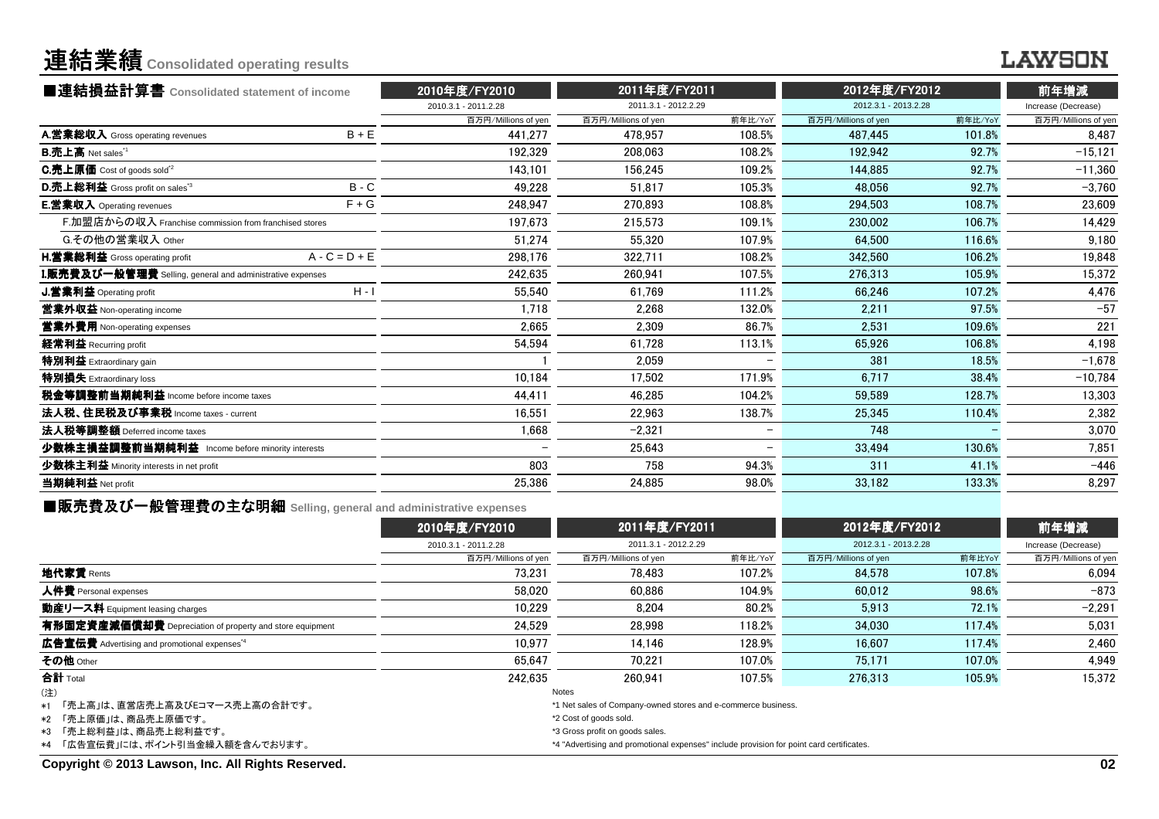## 連結業績**Consolidated operating results**

### **LAWSON**

| ■連結損益計算書 Consolidated statement of income                 |                 | 2010年度/FY2010        | 2011年度/FY2011        |                          | 2012年度/FY2012        | 前年増減    |                     |  |
|-----------------------------------------------------------|-----------------|----------------------|----------------------|--------------------------|----------------------|---------|---------------------|--|
|                                                           |                 | 2010.3.1 - 2011.2.28 | 2011.3.1 - 2012.2.29 |                          | 2012.3.1 - 2013.2.28 |         | Increase (Decrease) |  |
|                                                           |                 | 百万円/Millions of yen  | 百万円/Millions of yen  | 前年比/YoY                  | 百万円/Millions of yen  | 前年比/YoY | 百万円/Millions of yen |  |
| A.営業総収入 Gross operating revenues                          | $B + E$         | 441.277              | 478.957              | 108.5%                   | 487.445              | 101.8%  | 8.487               |  |
| <b>B.売上高</b> Net sales <sup>"1</sup>                      |                 | 192,329              | 208.063              | 108.2%                   | 192,942              | 92.7%   | $-15,121$           |  |
| C.売上原価 Cost of goods sold <sup>*2</sup>                   |                 | 143.101              | 156.245              | 109.2%                   | 144.885              | 92.7%   | $-11,360$           |  |
| D.売上総利益 Gross profit on sales <sup>"3</sup>               | $B - C$         | 49,228               | 51,817               | 105.3%                   | 48.056               | 92.7%   | $-3,760$            |  |
| E.営業収入 Operating revenues                                 | $F + G$         | 248,947              | 270.893              | 108.8%                   | 294.503              | 108.7%  | 23,609              |  |
| F.加盟店からの収入 Franchise commission from franchised stores    |                 | 197.673              | 215,573              | 109.1%                   | 230,002              | 106.7%  | 14,429              |  |
| G.その他の営業収入 Other                                          |                 | 51.274               | 55.320               | 107.9%                   | 64.500               | 116.6%  | 9,180               |  |
| H.営業総利益 Gross operating profit                            | $A - C = D + E$ | 298,176              | 322,711              | 108.2%                   | 342,560              | 106.2%  | 19.848              |  |
| I.販売費及び一般管理費 Selling, general and administrative expenses |                 | 242.635              | 260.941              | 107.5%                   | 276.313              | 105.9%  | 15,372              |  |
| J.営業利益 Operating profit                                   | $H - I$         | 55,540               | 61.769               | 111.2%                   | 66.246               | 107.2%  | 4,476               |  |
| 営業外収益 Non-operating income                                |                 | 1.718                | 2,268                | 132.0%                   | 2,211                | 97.5%   | $-57$               |  |
| 営業外費用 Non-operating expenses                              |                 | 2,665                | 2.309                | 86.7%                    | 2.531                | 109.6%  | 221                 |  |
| 経常利益 Recurring profit                                     |                 | 54,594               | 61,728               | 113.1%                   | 65.926               | 106.8%  | 4,198               |  |
| <b>特別利益</b> Extraordinary gain                            |                 |                      | 2.059                |                          | 381                  | 18.5%   | $-1,678$            |  |
| 特別損失 Extraordinary loss                                   |                 | 10,184               | 17,502               | 171.9%                   | 6.717                | 38.4%   | $-10,784$           |  |
| 税金等調整前当期純利益 Income before income taxes                    |                 | 44,411               | 46,285               | 104.2%                   | 59.589               | 128.7%  | 13,303              |  |
| 法人税、住民税及び事業税 Income taxes - current                       |                 | 16,551               | 22,963               | 138.7%                   | 25,345               | 110.4%  | 2,382               |  |
| 法人税等調整額 Deferred income taxes                             |                 | 1,668                | $-2.321$             | $\overline{\phantom{0}}$ | 748                  |         | 3,070               |  |
| 少数株主損益調整前当期純利益 Income before minority interests           |                 |                      | 25.643               |                          | 33.494               | 130.6%  | 7.851               |  |
| 少数株主利益 Minority interests in net profit                   |                 | 803                  | 758                  | 94.3%                    | 311                  | 41.1%   | $-446$              |  |
| 当期純利益 Net profit                                          |                 | 25,386               | 24,885               | 98.0%                    | 33,182               | 133.3%  | 8,297               |  |
|                                                           |                 |                      |                      |                          |                      |         |                     |  |

■販売費及び一般管理費の主な明細 **Selling, general and administrative expenses**

|                                                                 | 2010年度/FY2010        | 2011年度/FY2011                                                                            |         | 2012年度/FY2012        |        | 前年増減                |
|-----------------------------------------------------------------|----------------------|------------------------------------------------------------------------------------------|---------|----------------------|--------|---------------------|
|                                                                 | 2010.3.1 - 2011.2.28 | 2011.3.1 - 2012.2.29                                                                     |         | 2012.3.1 - 2013.2.28 |        | Increase (Decrease) |
|                                                                 | 百万円/Millions of yen  | 百万円/Millions of yen                                                                      | 前年比/YoY | 百万円/Millions of yen  | 前年比YoY | 百万円/Millions of yen |
| 地代家賃 Rents                                                      | 73.231               | 78.483                                                                                   | 107.2%  | 84.578               | 107.8% | 6.094               |
| 人件費 Personal expenses                                           | 58.020               | 60.886                                                                                   | 104.9%  | 60.012               | 98.6%  | $-873$              |
| 動産リース料 Equipment leasing charges                                | 10.229               | 8.204                                                                                    | 80.2%   | 5.913                | 72.1%  | $-2,291$            |
| 有形固定資産減価償却費 Depreciation of property and store equipment        | 24.529               | 28.998                                                                                   | 118.2%  | 34.030               | 117.4% | 5,031               |
| <b>広告宣伝費</b> Advertising and promotional expenses <sup>*4</sup> | 10.977               | 14.146                                                                                   | 128.9%  | 16.607               | 117.4% | 2.460               |
| その他 Other                                                       | 65.647               | 70.221                                                                                   | 107.0%  | 75.171               | 107.0% | 4,949               |
| 合計 Total                                                        | 242.635              | 260.941                                                                                  | 107.5%  | 276.313              | 105.9% | 15.372              |
| (注)                                                             |                      | <b>Notes</b>                                                                             |         |                      |        |                     |
| *1 「売上高」は、直営店売上高及びEコマース売上高の合計です。                                |                      | *1 Net sales of Company-owned stores and e-commerce business.                            |         |                      |        |                     |
| *2 「売上原価」は、商品売上原価です。                                            |                      | *2 Cost of goods sold.                                                                   |         |                      |        |                     |
| *3 「売上総利益」は、商品売上総利益です。                                          |                      | *3 Gross profit on goods sales.                                                          |         |                      |        |                     |
| *4 「広告宣伝費」には、ポイント引当金繰入額を含んでおります。                                |                      | *4 "Advertising and promotional expenses" include provision for point card certificates. |         |                      |        |                     |

**Copyright © 2013 Lawson, Inc. All Rights Reserved.**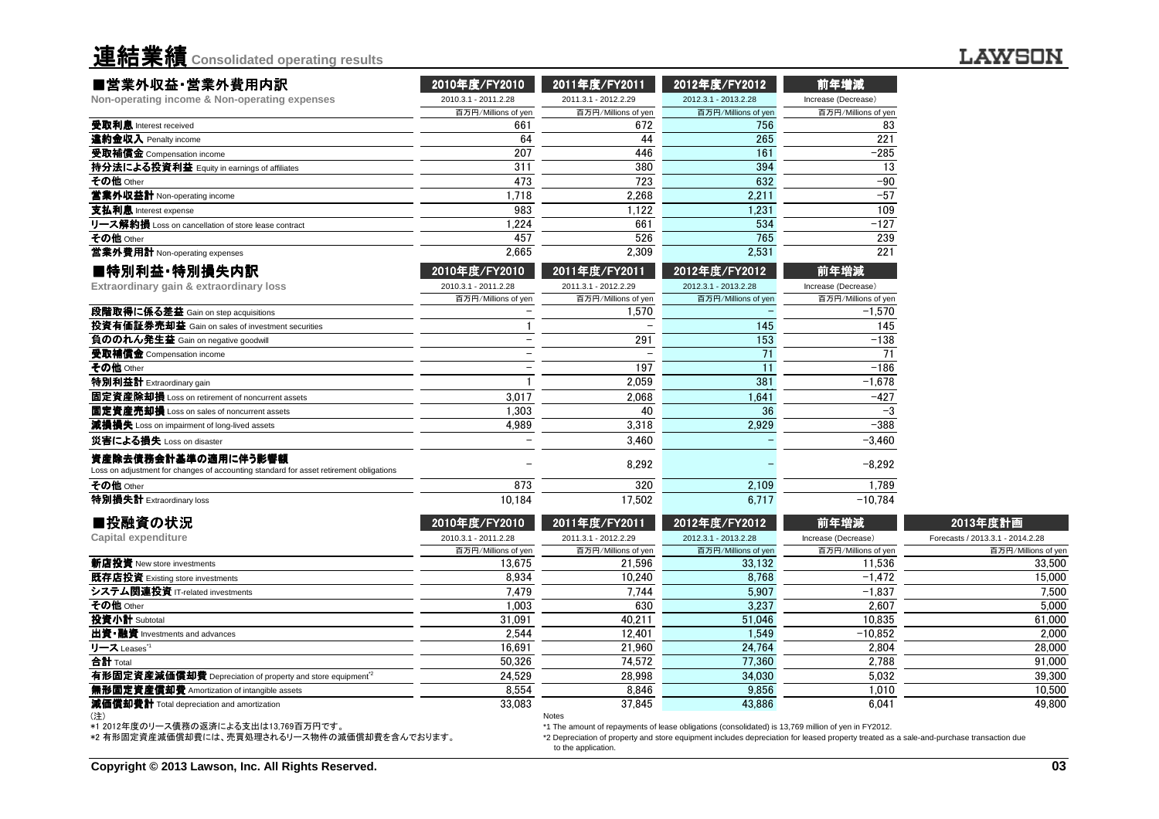| 連結業績 Consolidated operating results                                                                           |                      |                      |                      |                     |
|---------------------------------------------------------------------------------------------------------------|----------------------|----------------------|----------------------|---------------------|
| ■営業外収益・営業外費用内訳                                                                                                | 2010年度/FY2010        | 2011年度/FY2011        | 2012年度/FY2012        | 前年増減                |
| Non-operating income & Non-operating expenses                                                                 | 2010.3.1 - 2011.2.28 | 2011.3.1 - 2012.2.29 | 2012.3.1 - 2013.2.28 | Increase (Decrease) |
|                                                                                                               | 百万円/Millions of yen  | 百万円/Millions of yen  | 百万円/Millions of yen  | 百万円/Millions of yen |
| 受取利息 Interest received                                                                                        | 661                  | 672                  | 756                  | 83                  |
| 違約金収入 Penalty income                                                                                          | 64                   | 44                   | 265                  | 221                 |
| 受取補償金 Compensation income                                                                                     | 207                  | 446                  | 161                  | $-285$              |
| 持分法による投資利益 Equity in earnings of affiliates                                                                   | 311                  | 380                  | 394                  | 13                  |
| その他 Other                                                                                                     | 473                  | 723                  | 632                  | $-90$               |
| 営業外収益計 Non-operating income                                                                                   | 1.718                | 2.268                | 2.211                | $-57$               |
| 支払利息 Interest expense                                                                                         | 983                  | 1.122                | 1.231                | 109                 |
| リース解約損 Loss on cancellation of store lease contract                                                           | 1.224                | 661                  | 534                  | $-127$              |
| その他 Other                                                                                                     | 457                  | 526                  | 765                  | 239                 |
| 営業外費用計 Non-operating expenses                                                                                 | 2.665                | 2.309                | 2,531                | 221                 |
| ■特別利益·特別損失内訳                                                                                                  | 2010年度/FY2010        | 2011年度/FY2011        | 2012年度/FY2012        | 前年増減                |
| Extraordinary gain & extraordinary loss                                                                       | 2010.3.1 - 2011.2.28 | 2011.3.1 - 2012.2.29 | 2012.3.1 - 2013.2.28 | Increase (Decrease) |
|                                                                                                               |                      |                      |                      |                     |
|                                                                                                               | 百万円/Millions of yen  | 百万円/Millions of yen  | 百万円/Millions of yen  | 百万円/Millions of yen |
| 段階取得に係る差益 Gain on step acquisitions                                                                           |                      | 1.570                |                      | $-1,570$            |
| 投資有価証券売却益 Gain on sales of investment securities                                                              |                      |                      | 145                  | 145                 |
| 負ののれん発生益 Gain on negative goodwill                                                                            |                      | 291                  | 153                  | $-138$              |
| 受取補償金 Compensation income                                                                                     |                      |                      | 71                   | 71                  |
| その他 Other                                                                                                     |                      | 197                  | 11                   | $-186$              |
| 特別利益計 Extraordinary gain                                                                                      |                      | 2.059                | 381                  | $-1.678$            |
| 固定資産除却損 Loss on retirement of noncurrent assets                                                               | 3.017                | 2.068                | 1.641                | $-427$              |
| 固定資産売却損 Loss on sales of noncurrent assets                                                                    | 1.303                | 40                   | 36                   | $-3$                |
| 減損損失 Loss on impairment of long-lived assets                                                                  | 4.989                | 3.318                | 2.929                | $-388$              |
| 災害による損失 Loss on disaster                                                                                      |                      | 3.460                |                      | $-3.460$            |
| 資産除去債務会計基準の適用に伴う影響額<br>Loss on adjustment for changes of accounting standard for asset retirement obligations |                      | 8.292                |                      | $-8.292$            |
| その他 Other                                                                                                     | 873                  | 320<br>17.502        | 2.109                | 1.789<br>$-10.784$  |

| ■投融資の状況                                                               | 2010年度/FY2010        | 2011年度/FY2011        | 2012年度/FY2012                                                                                       | 前年増減                | 2013年度計画                         |
|-----------------------------------------------------------------------|----------------------|----------------------|-----------------------------------------------------------------------------------------------------|---------------------|----------------------------------|
| Capital expenditure                                                   | 2010.3.1 - 2011.2.28 | 2011.3.1 - 2012.2.29 | 2012.3.1 - 2013.2.28                                                                                | Increase (Decrease) | Forecasts / 2013.3.1 - 2014.2.28 |
|                                                                       | 百万円/Millions of yen  | 百万円/Millions of yen  | 百万円/Millions of yen                                                                                 | 百万円/Millions of yen | 百万円/Millions of yen              |
| 新店投資 New store investments                                            | 13.675               | 21.596               | 33.132                                                                                              | 11.536              | 33,500                           |
| 既存店投資 Existing store investments                                      | 8.934                | 10.240               | 8.768                                                                                               | $-1.472$            | 15.000                           |
| システム関連投資 IT-related investments                                       | 7.479                | 7.744                | 5.907                                                                                               | $-1.837$            | 7.500                            |
| その他 Other                                                             | 1.003                | 630                  | 3.237                                                                                               | 2.607               | 5,000                            |
| 投資小計 Subtotal                                                         | 31,091               | 40.211               | 51.046                                                                                              | 10.835              | 61,000                           |
| 出資•融資 Investments and advances                                        | 2.544                | 12.401               | 1.549                                                                                               | $-10.852$           | 2.000                            |
| リース Leases <sup>*1</sup>                                              | 16,691               | 21,960               | 24,764                                                                                              | 2,804               | 28,000                           |
| 合計 Total                                                              | 50.326               | 74.572               | 77.360                                                                                              | 2,788               | 91,000                           |
| 有形固定資産減価償却費 Depreciation of property and store equipment <sup>2</sup> | 24.529               | 28.998               | 34,030                                                                                              | 5.032               | 39,300                           |
| 無形固定資産償却費 Amortization of intangible assets                           | 8.554                | 8.846                | 9,856                                                                                               | 1.010               | 10,500                           |
| 減価償却費計 Total depreciation and amortization                            | 33,083               | 37.845               | 43,886                                                                                              | 6,041               | 49.800                           |
| (注)                                                                   |                      | <b>Notes</b>         |                                                                                                     |                     |                                  |
| *1 2012年度のリース債務の返済による支出は13,769百万円です。                                  |                      |                      | *1 The amount of repayments of lease obligations (consolidated) is 13,769 million of yen in FY2012. |                     |                                  |

\*1 2012年度のリース債務の返済による支出は13,769百万円です。 \*2 有形固定資産減価償却費には、売買処理されるリース物件の減価償却費を含んでおります。

 \*2 Depreciation of property and store equipment includes depreciation for leased property treated as a sale-and-purchase transaction dueto the application.

#### **LAWSON**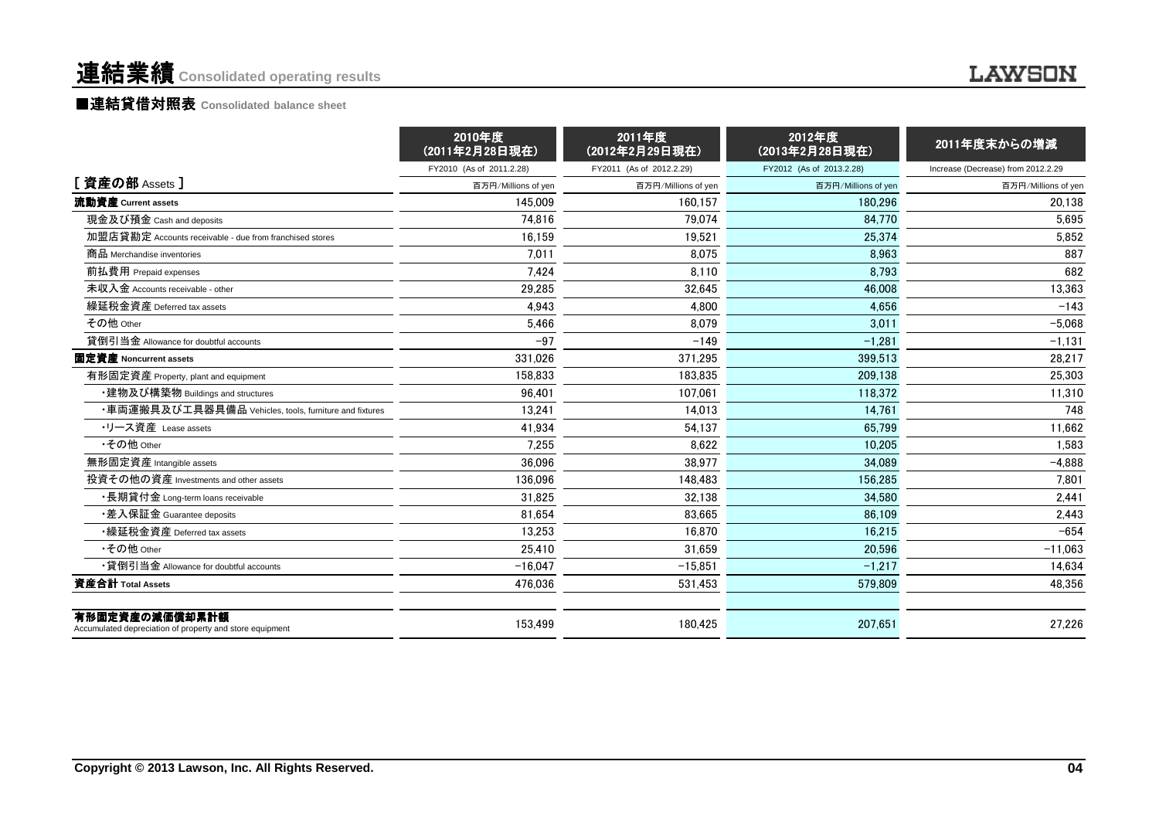### 連結業績 **Consolidated operating results**

#### **LAWSON**

#### ■<mark>連結貸借対照表 Consolidated balance sheet</mark>

|                                                                            | 2010年度<br>(2011年2月28日現在) | 2011年度<br>(2012年2月29日現在) | 2012年度<br>(2013年2月28日現在) | 2011年度末からの増減                       |
|----------------------------------------------------------------------------|--------------------------|--------------------------|--------------------------|------------------------------------|
|                                                                            | FY2010 (As of 2011.2.28) | FY2011 (As of 2012.2.29) | FY2012 (As of 2013.2.28) | Increase (Decrease) from 2012.2.29 |
| [資産の部 Assets ]                                                             | 百万円/Millions of yen      | 百万円/Millions of yen      | 百万円/Millions of yen      | 百万円/Millions of yen                |
| 流動資産 Current assets                                                        | 145,009                  | 160.157                  | 180.296                  | 20.138                             |
| 現金及び預金 Cash and deposits                                                   | 74.816                   | 79.074                   | 84.770                   | 5.695                              |
| 加盟店貸勘定 Accounts receivable - due from franchised stores                    | 16,159                   | 19,521                   | 25.374                   | 5,852                              |
| 商品 Merchandise inventories                                                 | 7,011                    | 8,075                    | 8.963                    | 887                                |
| 前払費用 Prepaid expenses                                                      | 7.424                    | 8.110                    | 8.793                    | 682                                |
| 未収入金 Accounts receivable - other                                           | 29,285                   | 32,645                   | 46,008                   | 13,363                             |
| 繰延税金資産 Deferred tax assets                                                 | 4.943                    | 4.800                    | 4.656                    | $-143$                             |
| その他 Other                                                                  | 5,466                    | 8,079                    | 3,011                    | $-5,068$                           |
| 貸倒引当金 Allowance for doubtful accounts                                      | $-97$                    | $-149$                   | $-1,281$                 | $-1,131$                           |
| 固定資産 Noncurrent assets                                                     | 331,026                  | 371,295                  | 399,513                  | 28,217                             |
| 有形固定資産 Property, plant and equipment                                       | 158.833                  | 183.835                  | 209.138                  | 25,303                             |
| ・建物及び構築物 Buildings and structures                                          | 96,401                   | 107,061                  | 118,372                  | 11,310                             |
| ・車両運搬具及び工具器具備品 Vehicles, tools, furniture and fixtures                     | 13.241                   | 14.013                   | 14.761                   | 748                                |
| ・リース資産 Lease assets                                                        | 41,934                   | 54,137                   | 65,799                   | 11,662                             |
| •その他 Other                                                                 | 7,255                    | 8,622                    | 10.205                   | 1,583                              |
| 無形固定資産 Intangible assets                                                   | 36.096                   | 38.977                   | 34.089                   | $-4,888$                           |
| 投資その他の資産 Investments and other assets                                      | 136.096                  | 148.483                  | 156.285                  | 7.801                              |
| •長期貸付金 Long-term loans receivable                                          | 31.825                   | 32,138                   | 34.580                   | 2.441                              |
| ・差入保証金 Guarantee deposits                                                  | 81.654                   | 83.665                   | 86.109                   | 2,443                              |
| •繰延税金資産 Deferred tax assets                                                | 13,253                   | 16,870                   | 16,215                   | $-654$                             |
| •その他 Other                                                                 | 25,410                   | 31,659                   | 20,596                   | $-11,063$                          |
| •貸倒引当金 Allowance for doubtful accounts                                     | $-16.047$                | $-15,851$                | $-1,217$                 | 14,634                             |
| 資産合計 Total Assets                                                          | 476,036                  | 531,453                  | 579,809                  | 48,356                             |
| 有形固定資産の減価償却累計額<br>Accumulated depreciation of property and store equipment | 153,499                  | 180,425                  | 207,651                  | 27,226                             |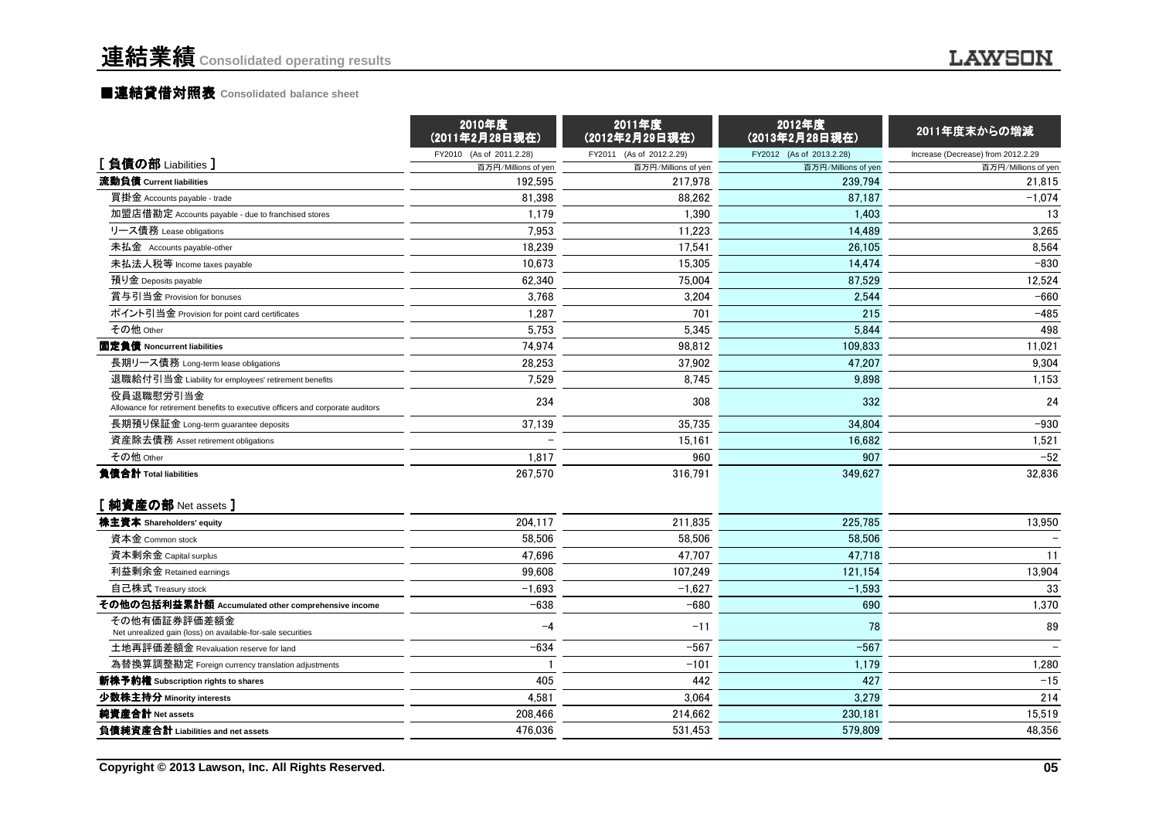#### ■<mark>連結貸借対照表 Consolidated balance sheet</mark>

|                                                                                             | 2010年度<br>(2011年2月28日現在) | 2011年度<br>(2012年2月29日現在) | 2012年度<br>(2013年2月28日現在) | 2011年度末からの増減                       |
|---------------------------------------------------------------------------------------------|--------------------------|--------------------------|--------------------------|------------------------------------|
| [負債の部 Liabilities]                                                                          | FY2010 (As of 2011.2.28) | FY2011 (As of 2012.2.29) | FY2012 (As of 2013.2.28) | Increase (Decrease) from 2012.2.29 |
|                                                                                             | 百万円/Millions of yen      | 百万円/Millions of yen      | 百万円/Millions of yen      | 百万円/Millions of yen                |
| 流動負債 Current liabilities                                                                    | 192.595                  | 217,978                  | 239.794                  | 21,815                             |
| 買掛金 Accounts payable - trade                                                                | 81,398                   | 88,262                   | 87,187                   | $-1,074$                           |
| 加盟店借勘定 Accounts payable - due to franchised stores                                          | 1,179                    | 1,390                    | 1,403                    | 13                                 |
| リース債務 Lease obligations                                                                     | 7.953                    | 11.223                   | 14,489                   | 3,265                              |
| 未払金 Accounts payable-other                                                                  | 18,239                   | 17,541                   | 26,105                   | 8,564                              |
| 未払法人税等 Income taxes payable                                                                 | 10,673                   | 15,305                   | 14,474                   | $-830$                             |
| 預り金 Deposits payable                                                                        | 62.340                   | 75,004                   | 87.529                   | 12,524                             |
| 賞与引当金 Provision for bonuses                                                                 | 3.768                    | 3,204                    | 2.544                    | $-660$                             |
| ポイント引当金 Provision for point card certificates                                               | 1,287                    | 701                      | 215                      | $-485$                             |
| その他 Other                                                                                   | 5.753                    | 5.345                    | 5.844                    | 498                                |
| 固定負債 Noncurrent liabilities                                                                 | 74,974                   | 98,812                   | 109,833                  | 11,021                             |
| 長期リース債務 Long-term lease obligations                                                         | 28,253                   | 37,902                   | 47,207                   | 9,304                              |
| 退職給付引当金 Liability for employees' retirement benefits                                        | 7.529                    | 8,745                    | 9,898                    | 1,153                              |
| 役員退職慰労引当金<br>Allowance for retirement benefits to executive officers and corporate auditors | 234                      | 308                      | 332                      | 24                                 |
| 長期預り保証金 Long-term guarantee deposits                                                        | 37,139                   | 35,735                   | 34,804                   | $-930$                             |
| 資産除去債務 Asset retirement obligations                                                         |                          | 15,161                   | 16,682                   | 1,521                              |
| その他 Other                                                                                   | 1,817                    | 960                      | 907                      | $-52$                              |
| 負債合計 Total liabilities                                                                      | 267,570                  | 316,791                  | 349,627                  | 32,836                             |
| [純資産の部 Net assets ]                                                                         |                          |                          |                          |                                    |
| 株主資本 Shareholders' equity                                                                   | 204,117                  | 211,835                  | 225,785                  | 13,950                             |
| 資本金 Common stock                                                                            | 58.506                   | 58.506                   | 58.506                   |                                    |
| 資本剰余金 Capital surplus                                                                       | 47.696                   | 47.707                   | 47.718                   | 11                                 |
| 利益剰余金 Retained earnings                                                                     | 99,608                   | 107,249                  | 121,154                  | 13,904                             |
| 自己株式 Treasury stock                                                                         | $-1,693$                 | $-1,627$                 | $-1,593$                 | 33                                 |
| その他の包括利益累計額 Accumulated other comprehensive income                                          | $-638$                   | $-680$                   | 690                      | 1,370                              |
| その他有価証券評価差額金<br>Net unrealized gain (loss) on available-for-sale securities                 | $-4$                     | $-11$                    | 78                       | 89                                 |
| 土地再評価差額金 Revaluation reserve for land                                                       | $-634$                   | $-567$                   | $-567$                   |                                    |
| 為替換算調整勘定 Foreign currency translation adjustments                                           |                          | $-101$                   | 1,179                    | 1,280                              |
| 新株予約権 Subscription rights to shares                                                         | 405                      | 442                      | 427                      | $-15$                              |
| 少数株主持分 Minority interests                                                                   | 4,581                    | 3,064                    | 3,279                    | 214                                |
| 純資産合計 Net assets                                                                            | 208,466                  | 214,662                  | 230,181                  | 15,519                             |
| 負債純資産合計 Liabilities and net assets                                                          | 476.036                  | 531,453                  | 579,809                  | 48,356                             |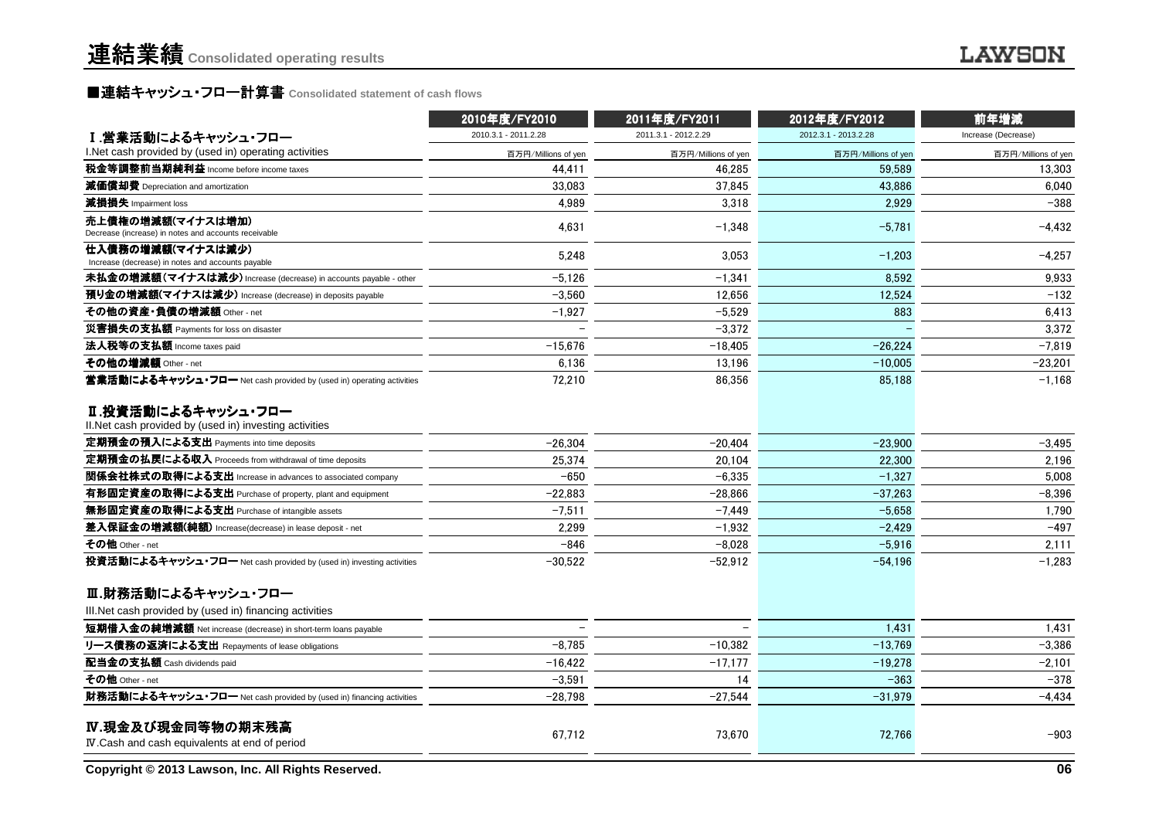#### ■連結キャッシュ・フロー計算書 **Consolidated statement of cash flows**

|                                                                               | 2010年度/FY2010<br>2011年度/FY2011 |                      | 2012年度/FY2012        | 前年増減                |  |
|-------------------------------------------------------------------------------|--------------------------------|----------------------|----------------------|---------------------|--|
| I.営業活動によるキャッシュ・フロー                                                            | 2010.3.1 - 2011.2.28           | 2011.3.1 - 2012.2.29 | 2012.3.1 - 2013.2.28 | Increase (Decrease) |  |
| I.Net cash provided by (used in) operating activities                         | 百万円/Millions of yen            | 百万円/Millions of yen  | 百万円/Millions of yen  | 百万円/Millions of yen |  |
| <b>税金等調整前当期純利益</b> Income before income taxes                                 | 44.411                         | 46.285               | 59.589               | 13.303              |  |
| 減価償却費 Depreciation and amortization                                           | 33,083                         | 37,845               | 43,886               | 6,040               |  |
| 減損損失 Impairment loss                                                          | 4.989                          | 3.318                | 2.929                | $-388$              |  |
| 売上債権の増減額(マイナスは増加)<br>Decrease (increase) in notes and accounts receivable     | 4,631                          | $-1,348$             | $-5,781$             | $-4,432$            |  |
| 仕入債務の増減額(マイナスは減少)<br>Increase (decrease) in notes and accounts payable        | 5,248                          | 3,053                | $-1,203$             | $-4,257$            |  |
| 未払金の増減額(マイナスは減少) Increase (decrease) in accounts payable - other              | $-5.126$                       | $-1.341$             | 8.592                | 9.933               |  |
| 預り金の増減額(マイナスは減少) Increase (decrease) in deposits payable                      | $-3.560$                       | 12,656               | 12,524               | $-132$              |  |
| その他の資産・負債の増減額 Other - net                                                     | $-1.927$                       | $-5.529$             | 883                  | 6,413               |  |
| 災害損失の支払額 Payments for loss on disaster                                        |                                | $-3.372$             |                      | 3.372               |  |
| 法人税等の支払額 Income taxes paid                                                    | $-15,676$                      | $-18,405$            | $-26,224$            | $-7,819$            |  |
| その他の増減額 Other - net                                                           | 6,136                          | 13,196               | $-10,005$            | $-23,201$           |  |
| 営業活動によるキャッシュ・フロー Net cash provided by (used in) operating activities          | 72,210                         | 86,356               | 85,188               | $-1,168$            |  |
| Ⅱ.投資活動によるキャッシュ・フロー<br>II. Net cash provided by (used in) investing activities |                                |                      |                      |                     |  |
| 定期預金の預入による支出 Payments into time deposits                                      | $-26,304$                      | $-20.404$            | $-23,900$            | $-3.495$            |  |
| 定期預金の払戻による収入 Proceeds from withdrawal of time deposits                        | 25.374                         | 20.104               | 22,300               | 2.196               |  |
| 関係会社株式の取得による支出 Increase in advances to associated company                     | $-650$                         | $-6.335$             | $-1.327$             | 5.008               |  |
| 有形固定資産の取得による支出 Purchase of property, plant and equipment                      | $-22,883$                      | $-28,866$            | $-37,263$            | $-8,396$            |  |
| 無形固定資産の取得による支出 Purchase of intangible assets                                  | $-7,511$                       | $-7,449$             | $-5,658$             | 1,790               |  |
| 差入保証金の増減額(純額) Increase(decrease) in lease deposit - net                       | 2,299                          | $-1.932$             | $-2.429$             | $-497$              |  |
| その他 Other - net                                                               | $-846$                         | $-8,028$             | $-5.916$             | 2,111               |  |
| 投資活動によるキャッシュ・フロー Net cash provided by (used in) investing activities          | $-30,522$                      | $-52,912$            | $-54,196$            | $-1,283$            |  |
| Ⅲ.財務活動によるキャッシュ・フロー                                                            |                                |                      |                      |                     |  |
| III. Net cash provided by (used in) financing activities                      |                                |                      |                      |                     |  |
| 短期借入金の純増減額 Net increase (decrease) in short-term loans payable                |                                |                      | 1,431                | 1,431               |  |
| リース債務の返済による支出 Repayments of lease obligations                                 | $-8.785$                       | $-10,382$            | $-13,769$            | $-3,386$            |  |
| 配当金の支払額 Cash dividends paid                                                   | $-16.422$                      | $-17,177$            | $-19,278$            | $-2,101$            |  |
| その他 Other - net                                                               | $-3,591$                       | 14                   | $-363$               | $-378$              |  |
| 財務活動によるキャッシュ・フロー Net cash provided by (used in) financing activities          | -28,798                        | $-27,544$            | $-31,979$            | $-4,434$            |  |
| IV.現金及び現金同等物の期末残高<br>IV. Cash and cash equivalents at end of period           | 67.712                         | 73.670               | 72,766               | $-903$              |  |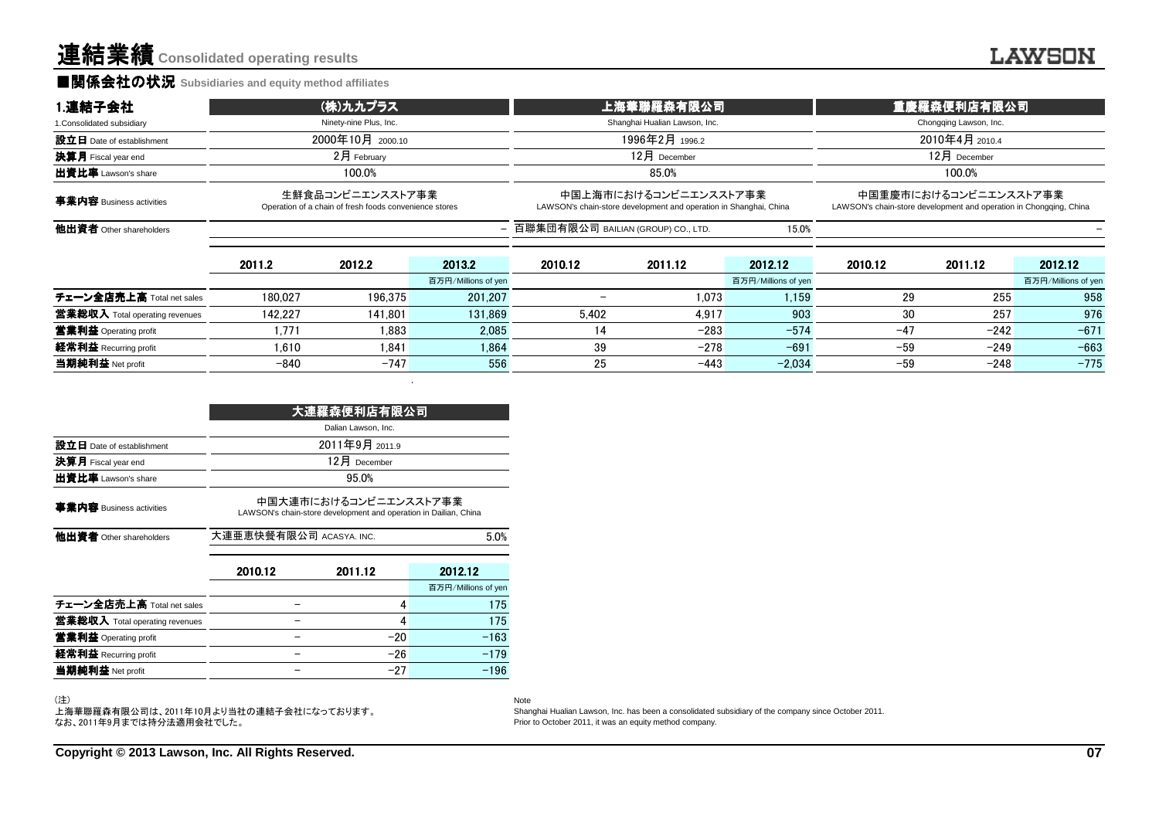#### **■関係会社の状況 Subsidiaries and equity method affiliates**

| 1.連結子会社                        |                                                                            | (株)九九プラス               |                     | 上海華聯羅森有限公司                           |                                                                                            |                     | 重慶羅森便利店有限公司            |                                                                                             |                     |
|--------------------------------|----------------------------------------------------------------------------|------------------------|---------------------|--------------------------------------|--------------------------------------------------------------------------------------------|---------------------|------------------------|---------------------------------------------------------------------------------------------|---------------------|
| 1. Consolidated subsidiary     |                                                                            | Ninety-nine Plus, Inc. |                     |                                      | Shanghai Hualian Lawson, Inc.                                                              |                     | Chongqing Lawson, Inc. |                                                                                             |                     |
| 設立日 Date of establishment      |                                                                            | 2000年10月 2000.10       |                     |                                      | 1996年2月 1996.2                                                                             |                     |                        | 2010年4月 2010.4                                                                              |                     |
| 決算月 Fiscal year end            |                                                                            | $2$ 月 February         |                     |                                      | $12$ 月 December                                                                            |                     |                        | $12月$ December                                                                              |                     |
| 出資比率 Lawson's share            |                                                                            | 100.0%                 |                     |                                      | 85.0%                                                                                      |                     |                        | 100.0%                                                                                      |                     |
| 事業内容 Business activities       | 生鮮食品コンビニエンスストア事業<br>Operation of a chain of fresh foods convenience stores |                        |                     |                                      | 中国上海市におけるコンビニエンスストア事業<br>LAWSON's chain-store development and operation in Shanghai, China |                     |                        | 中国重慶市におけるコンビニエンスストア事業<br>LAWSON's chain-store development and operation in Chongging, China |                     |
| 他出資者 Other shareholders        |                                                                            |                        |                     | - 百聯集団有限公司 BAILIAN (GROUP) CO., LTD. |                                                                                            | 15.0%               |                        |                                                                                             |                     |
|                                | 2011.2                                                                     | 2012.2                 | 2013.2              | 2010.12                              | 2011.12                                                                                    | 2012.12             | 2010.12                | 2011.12                                                                                     | 2012.12             |
|                                |                                                                            |                        | 百万円/Millions of yen |                                      |                                                                                            | 百万円/Millions of yen |                        |                                                                                             | 百万円/Millions of yen |
| チェーン全店売上高 Total net sales      | 180.027                                                                    | 196.375                | 201.207             |                                      | 1.073                                                                                      | 1.159               | 29                     | 255                                                                                         | 958                 |
| 営業総収入 Total operating revenues | 142.227                                                                    | 141.801                | 131.869             | 5.402                                | 4.917                                                                                      | 903                 | 30                     | 257                                                                                         | 976                 |
| 営業利益 Operating profit          | 1.771                                                                      | 1.883                  | 2.085               | 14                                   | $-283$                                                                                     | $-574$              | $-47$                  | $-242$                                                                                      | $-671$              |
| 経常利益 Recurring profit          | 1.610                                                                      | 1.841                  | 1.864               | 39                                   | $-278$                                                                                     | $-691$              | $-59$                  | $-249$                                                                                      | $-663$              |
| 当期純利益 Net profit               | $-840$                                                                     | $-747$                 | 556                 | 25                                   | $-443$                                                                                     | $-2.034$            | $-59$                  | $-248$                                                                                      | $-775$              |

|                                | 大連羅森便利店有限公司                                                                               |                 |                     |  |  |  |  |  |
|--------------------------------|-------------------------------------------------------------------------------------------|-----------------|---------------------|--|--|--|--|--|
|                                | Dalian Lawson, Inc.                                                                       |                 |                     |  |  |  |  |  |
| 設立日 Date of establishment      | 2011年9月 2011.9                                                                            |                 |                     |  |  |  |  |  |
| 決算月 Fiscal year end            |                                                                                           | $12$ 月 December |                     |  |  |  |  |  |
| 出資比率 Lawson's share            |                                                                                           | 95.0%           |                     |  |  |  |  |  |
| 事業内容 Business activities       | 中国大連市におけるコンビニエンスストア事業<br>LAWSON's chain-store development and operation in Dailian, China |                 |                     |  |  |  |  |  |
| 他出資者 Other shareholders        | 大連亜恵快餐有限公司 ACASYA. INC.                                                                   |                 | 5.0%                |  |  |  |  |  |
|                                | 2010.12                                                                                   | 2011.12         | 2012.12             |  |  |  |  |  |
|                                |                                                                                           |                 | 百万円/Millions of yen |  |  |  |  |  |
| チェーン全店売上高 Total net sales      |                                                                                           | 4               | 175                 |  |  |  |  |  |
| 當業総収入 Total operating revenues |                                                                                           | 4               | 175                 |  |  |  |  |  |
| 営業利益 Operating profit          |                                                                                           | $-20$           | $-163$              |  |  |  |  |  |
| 経常利益 Recurring profit          |                                                                                           | $-26$           | $-179$              |  |  |  |  |  |
| 当期純利益 Net profit               |                                                                                           | $-27$           | $-196$              |  |  |  |  |  |

(注)

上海華聯羅森有限公司は、2011年10月より当社の連結子会社になっております。 なお、2011年9月までは持分法適用会社でした。

Note

 Shanghai Hualian Lawson, Inc. has been a consolidated subsidiary of the company since October 2011. Prior to October 2011, it was an equity method company.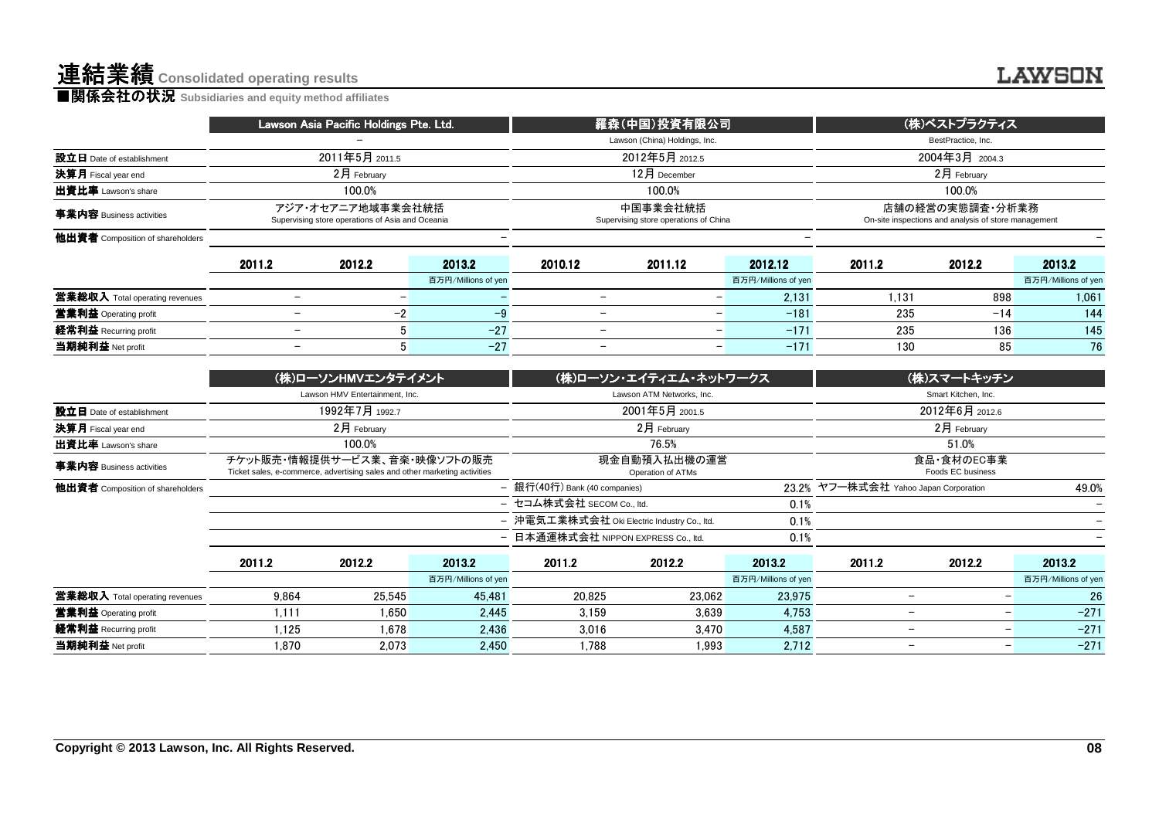|                                  | Lawson Asia Pacific Holdings Pte. Ltd. |                                                                       |                     |                                                   | 羅森(中国)投資有限公司                  |                     |                                                                         | (株)ベストプラクティス        |                     |
|----------------------------------|----------------------------------------|-----------------------------------------------------------------------|---------------------|---------------------------------------------------|-------------------------------|---------------------|-------------------------------------------------------------------------|---------------------|---------------------|
|                                  |                                        |                                                                       |                     |                                                   | Lawson (China) Holdings, Inc. |                     |                                                                         | BestPractice, Inc.  |                     |
| 設立日 Date of establishment        |                                        | 2011年5月 2011.5                                                        |                     | 2012年5月 2012.5                                    |                               |                     | 2004年3月 2004.3                                                          |                     |                     |
| 決算月 Fiscal year end              | $2月$ February                          |                                                                       |                     |                                                   | $12$ 月 December               |                     | $2月$ February                                                           |                     |                     |
| 出資比率 Lawson's share              | 100.0%                                 |                                                                       |                     |                                                   | 100.0%                        |                     |                                                                         | 100.0%              |                     |
| 事業内容 Business activities         |                                        | アジア・オセアニア地域事業会社統括<br>Supervising store operations of Asia and Oceania |                     | 中国事業会社統括<br>Supervising store operations of China |                               |                     | 店舗の経営の実態調査・分析業務<br>On-site inspections and analysis of store management |                     |                     |
| 他出資者 Composition of shareholders |                                        |                                                                       |                     |                                                   |                               |                     |                                                                         |                     |                     |
|                                  | 2011.2                                 | 2012.2                                                                | 2013.2              | 2010.12                                           | 2011.12                       | 2012.12             | 2011.2                                                                  | 2012.2              | 2013.2              |
|                                  |                                        |                                                                       | 百万円/Millions of yen |                                                   |                               | 百万円/Millions of yen |                                                                         |                     | 百万円/Millions of yen |
| 営業総収入 Total operating revenues   | -                                      | $\qquad \qquad -$                                                     |                     |                                                   | -                             | 2,131               | 1.131                                                                   | 898                 | 1,061               |
| 営業利益 Operating profit            | -                                      | $-2$                                                                  | $-9$                | $\overline{\phantom{m}}$                          |                               | $-181$              | 235                                                                     | $-14$               | 144                 |
| 経常利益 Recurring profit            | -                                      | 5 <sup>1</sup>                                                        | $-27$               | $\overline{\phantom{a}}$                          | $\overline{\phantom{a}}$      | $-171$              | 235                                                                     | 136                 | 145                 |
| 当期純利益 Net profit                 | -                                      | 5 <sup>1</sup>                                                        | $-27$               | $\overline{\phantom{a}}$                          | $\overline{\phantom{m}}$      | $-171$              | 130                                                                     | 85                  | 76                  |
|                                  |                                        | (株)ローソンHMVエンタテイメント                                                    |                     |                                                   | (株)ローソン・エイティエム・ネットワークス        |                     |                                                                         | (株)スマートキッチン         |                     |
|                                  |                                        | Lawson HMV Entertainment, Inc.                                        |                     |                                                   | Lawson ATM Networks, Inc.     |                     |                                                                         | Smart Kitchen, Inc. |                     |
| 設立日 Date of establishment        |                                        | 1992年7月 1992.7                                                        |                     |                                                   | 2001年5月 2001.5                |                     |                                                                         | 2012年6月 2012.6      |                     |
| 決算月 Fiscal year end              |                                        | 2月 February                                                           |                     |                                                   | 2月 February                   |                     |                                                                         | 2月 February         |                     |
| 出資比率 Lawson's share              |                                        | 100.0%                                                                |                     |                                                   | 76.5%                         |                     |                                                                         | 51.0%               |                     |

|                                  |        | (株)ローソンHMVエンタテイメント                                                                                         |                     |                                             | (株)ローソン・エイティエム・ネットワークス            | (株)スマートキッチン         |                                       |                               |                          |  |
|----------------------------------|--------|------------------------------------------------------------------------------------------------------------|---------------------|---------------------------------------------|-----------------------------------|---------------------|---------------------------------------|-------------------------------|--------------------------|--|
|                                  |        | Lawson HMV Entertainment, Inc.                                                                             |                     |                                             | Lawson ATM Networks, Inc.         |                     |                                       | Smart Kitchen, Inc.           |                          |  |
| 設立日 Date of establishment        |        | 1992年7月 1992.7                                                                                             |                     |                                             | 2001年5月 2001.5                    |                     |                                       | 2012年6月 2012.6                |                          |  |
| 決算月 Fiscal year end              |        | $2$ 月 February                                                                                             |                     |                                             | $2$ 月 February                    |                     | 2月 February                           |                               |                          |  |
| 出資比率 Lawson's share              |        | 100.0%                                                                                                     |                     |                                             | 76.5%                             |                     | 51.0%                                 |                               |                          |  |
| 事業内容 Business activities         |        | チケット販売・情報提供サービス業、音楽・映像ソフトの販売<br>Ticket sales, e-commerce, advertising sales and other marketing activities |                     |                                             | 現金自動預入払出機の運営<br>Operation of ATMs |                     | 食品・食材のEC事業<br>Foods EC business       |                               |                          |  |
| 他出資者 Composition of shareholders |        |                                                                                                            |                     | - 銀行(40行) Bank (40 companies)               |                                   |                     | 23.2% ヤフー株式会社 Yahoo Japan Corporation |                               | 49.0%                    |  |
|                                  |        |                                                                                                            |                     | - セコム株式会社 SECOM Co., ltd.                   |                                   | 0.1%                |                                       |                               |                          |  |
|                                  |        |                                                                                                            |                     | - 沖電気工業株式会社 Oki Electric Industry Co., ltd. |                                   | 0.1%                |                                       |                               | $\overline{\phantom{0}}$ |  |
|                                  |        |                                                                                                            |                     | - 日本通運株式会社 NIPPON EXPRESS Co., ltd.         |                                   | 0.1%                |                                       |                               |                          |  |
|                                  | 2011.2 | 2012.2                                                                                                     | 2013.2              | 2011.2                                      | 2012.2                            | 2013.2              | 2011.2                                | 2012.2                        | 2013.2                   |  |
|                                  |        |                                                                                                            | 百万円/Millions of yen |                                             |                                   | 百万円/Millions of yen |                                       |                               | 百万円/Millions of yen      |  |
| 営業総収入 Total operating revenues   | 9.864  | 25.545                                                                                                     | 45.481              | 20.825                                      | 23.062                            | 23.975              |                                       | -                             | 26                       |  |
| 営業利益 Operating profit            | 1.111  | 1.650                                                                                                      | 2.445               | 3.159                                       | 3.639                             | 4.753               |                                       | -<br>$\overline{\phantom{m}}$ | $-271$                   |  |
| 経常利益 Recurring profit            | 1.125  | 1,678                                                                                                      | 2.436               | 3.016                                       | 3.470                             | 4.587               |                                       | -<br>$\qquad \qquad$          | $-271$                   |  |
| 当期純利益 Net profit                 | 1.870  | 2.073                                                                                                      | 2.450               | 1.788                                       | 1.993                             | 2,712               |                                       | -<br>$\qquad \qquad$          | $-271$                   |  |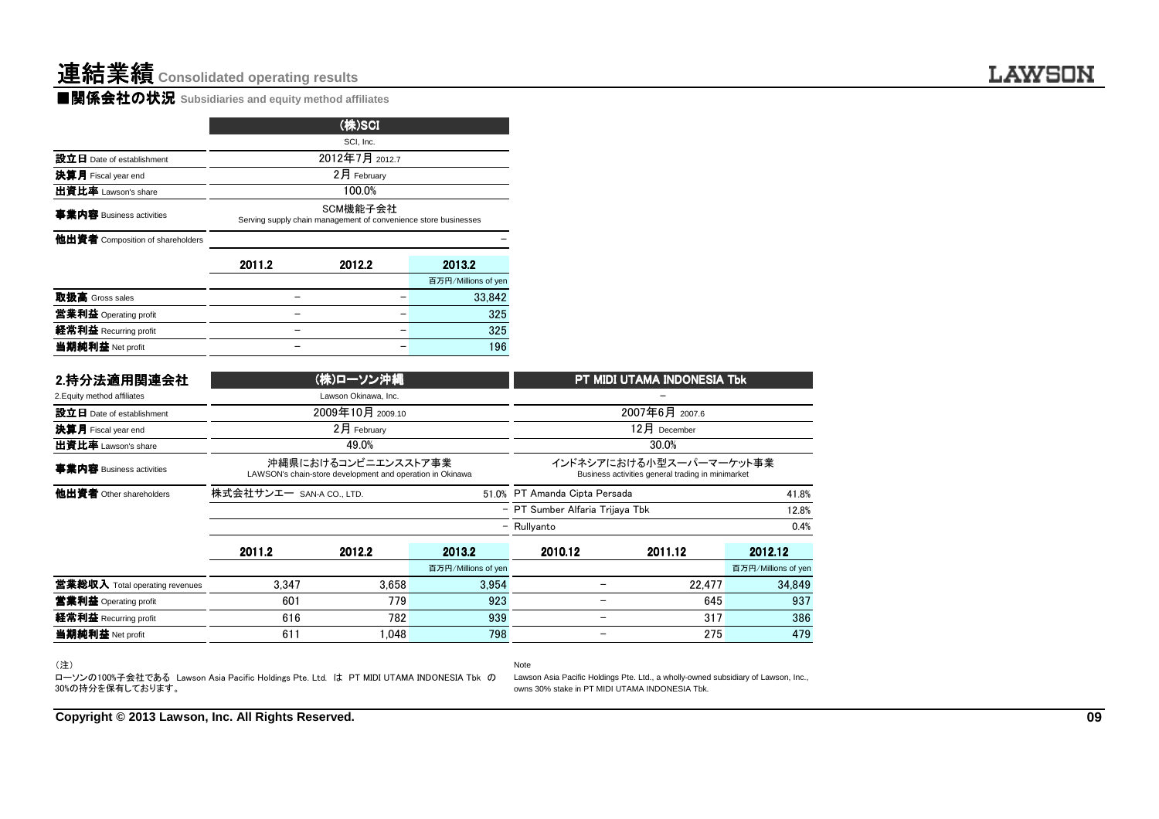|                                  |                                                                             | (株)SCI         |                     |  |  |  |  |  |  |
|----------------------------------|-----------------------------------------------------------------------------|----------------|---------------------|--|--|--|--|--|--|
|                                  |                                                                             | SCI, Inc.      |                     |  |  |  |  |  |  |
| 設立日 Date of establishment        |                                                                             | 2012年7月 2012.7 |                     |  |  |  |  |  |  |
| 決算月 Fiscal year end              |                                                                             | 2月 February    |                     |  |  |  |  |  |  |
| 出資比率 Lawson's share              | 100.0%                                                                      |                |                     |  |  |  |  |  |  |
| 事業内容 Business activities         | SCM機能子会社<br>Serving supply chain management of convenience store businesses |                |                     |  |  |  |  |  |  |
| 他出資者 Composition of shareholders |                                                                             |                |                     |  |  |  |  |  |  |
|                                  | 2011.2                                                                      | 2012.2         | 2013.2              |  |  |  |  |  |  |
|                                  |                                                                             |                | 百万円/Millions of yen |  |  |  |  |  |  |
| 取扱高 Gross sales                  |                                                                             |                | 33.842              |  |  |  |  |  |  |
| 営業利益 Operating profit            |                                                                             |                | 325                 |  |  |  |  |  |  |
| 経常利益 Recurring profit            |                                                                             |                | 325                 |  |  |  |  |  |  |
| 当期純利益 Net profit                 |                                                                             |                | 196                 |  |  |  |  |  |  |

| 2.持分法適用関連会社                           |                          | (株)ローソン沖縄                                                                        |                     | PT MIDI UTAMA INDONESIA Tbk                                                  |              |                     |  |  |
|---------------------------------------|--------------------------|----------------------------------------------------------------------------------|---------------------|------------------------------------------------------------------------------|--------------|---------------------|--|--|
| 2. Equity method affiliates           |                          | Lawson Okinawa, Inc.                                                             |                     |                                                                              |              |                     |  |  |
| 設立日 Date of establishment             |                          | 2009年10月 2009.10                                                                 |                     | 2007年6月 2007.6                                                               |              |                     |  |  |
| 決算月 Fiscal year end                   |                          | 2月 February                                                                      |                     |                                                                              | 12月 December |                     |  |  |
| 出資比率 Lawson's share                   |                          | 49.0%                                                                            |                     |                                                                              | 30.0%        |                     |  |  |
| 事業内容 Business activities              |                          | 沖縄県におけるコンビニエンスストア事業<br>LAWSON's chain-store development and operation in Okinawa |                     | インドネシアにおける小型スーパーマーケット事業<br>Business activities general trading in minimarket |              |                     |  |  |
| 他出資者 Other shareholders               | 株式会社サンエー SAN-A CO., LTD. |                                                                                  |                     | 51.0% PT Amanda Cipta Persada                                                |              | 41.8%               |  |  |
|                                       |                          |                                                                                  |                     | - PT Sumber Alfaria Trijaya Tbk                                              |              | 12.8%               |  |  |
|                                       |                          |                                                                                  |                     | - Rullvanto                                                                  |              | 0.4%                |  |  |
|                                       | 2011.2                   | 2012.2                                                                           | 2013.2              | 2010.12                                                                      | 2011.12      | 2012.12             |  |  |
|                                       |                          |                                                                                  | 百万円/Millions of yen |                                                                              |              | 百万円/Millions of yen |  |  |
| <b>営業総収入</b> Total operating revenues | 3.347                    | 3.658                                                                            | 3.954               |                                                                              | 22.477       | 34.849              |  |  |
| 営業利益 Operating profit                 | 601                      | 779                                                                              | 923                 |                                                                              | 645          | 937                 |  |  |
| 経常利益 Recurring profit                 | 616                      | 782                                                                              | 939                 |                                                                              | 317          | 386                 |  |  |
| 当期純利益 Net profit                      | 611                      | 1.048                                                                            | 798                 | -                                                                            | 275          | 479                 |  |  |

<sup>(</sup>注)

Note ローソンの100%子会社である Lawson Asia Pacific Holdings Pte. Ltd. は PT MIDI UTAMA INDONESIA Tbk の 30%の持分を保有しております。

Lawson Asia Pacific Holdings Pte. Ltd., a wholly-owned subsidiary of Lawson, Inc., owns 30% stake in PT MIDI UTAMA INDONESIA Tbk.

**Copyright © 2013 Lawson, Inc. All Rights Reserved.**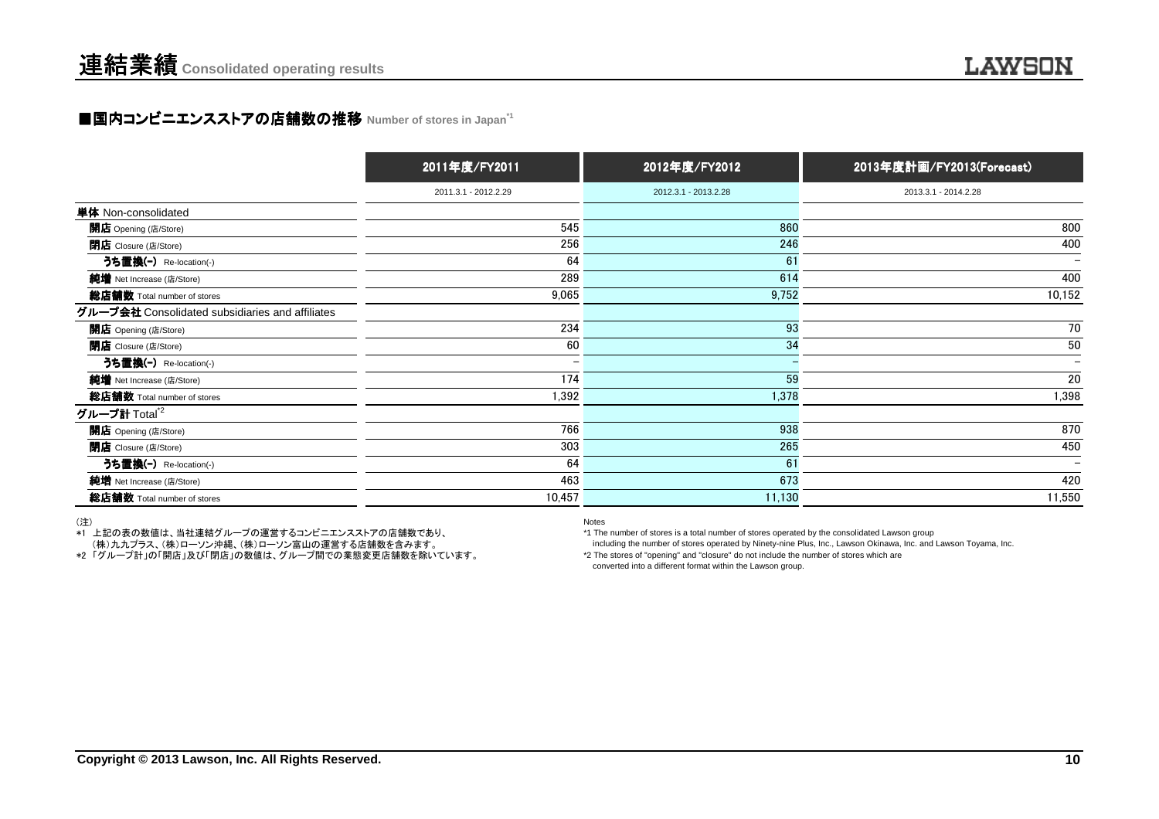### ■国内コンビニエンスストアの店舗数の推移 Number of stores in Japan<sup>\*1</sup>

|                                                 | 2011年度/FY2011        | 2012年度/FY2012        | 2013年度計画/FY2013(Forecast) |
|-------------------------------------------------|----------------------|----------------------|---------------------------|
|                                                 | 2011.3.1 - 2012.2.29 | 2012.3.1 - 2013.2.28 | 2013.3.1 - 2014.2.28      |
| 単体 Non-consolidated                             |                      |                      |                           |
| 開店 Opening (店/Store)                            | 545                  | 860                  | 800                       |
| <b>閉店</b> Closure (店/Store)                     | 256                  | 246                  | 400                       |
| うち置換(-) Re-location(-)                          | 64                   | 61                   | $\overline{\phantom{0}}$  |
| 純増 Net Increase (店/Store)                       | 289                  | 614                  | 400                       |
| 総店舗数 Total number of stores                     | 9,065                | 9,752                | 10,152                    |
| グループ会社 Consolidated subsidiaries and affiliates |                      |                      |                           |
| 開店 Opening (店/Store)                            | 234                  | 93                   | 70                        |
| <b>閉店</b> Closure (店/Store)                     | 60                   | 34                   | 50                        |
| うち置換(-) Re-location(-)                          | —                    |                      |                           |
| 純増 Net Increase (店/Store)                       | 174                  | 59                   | 20                        |
| 総店舗数 Total number of stores                     | 1,392                | 1,378                | 1,398                     |
| グループ計 Total $^{\star 2}$                        |                      |                      |                           |
| 開店 Opening (店/Store)                            | 766                  | 938                  | 870                       |
| <b>閉店</b> Closure (店/Store)                     | 303                  | 265                  | 450                       |
| うち置換(-) Re-location(-)                          | 64                   | 61                   | $\qquad \qquad$           |
| 純増 Net Increase (店/Store)                       | 463                  | 673                  | 420                       |
| 総店舗数 Total number of stores                     | 10,457               | 11,130               | 11,550                    |

(注)

\*1 上記の表の数値は、当社連結グループの運営するコンビニエンスストアの店舗数であり、

(株)九九プラス、(株)ローソン沖縄、(株)ローソン富山の運営する店舗数を含みます。

\*2 「グループ計」の「開店」及び「閉店」の数値は、グループ間での業態変更店舗数を除いています。

Notes

\*1 The number of stores is a total number of stores operated by the consolidated Lawson group

including the number of stores operated by Ninety-nine Plus, Inc., Lawson Okinawa, Inc. and Lawson Toyama, Inc.

\*2 The stores of "opening" and "closure" do not include the number of stores which are

converted into a different format within the Lawson group.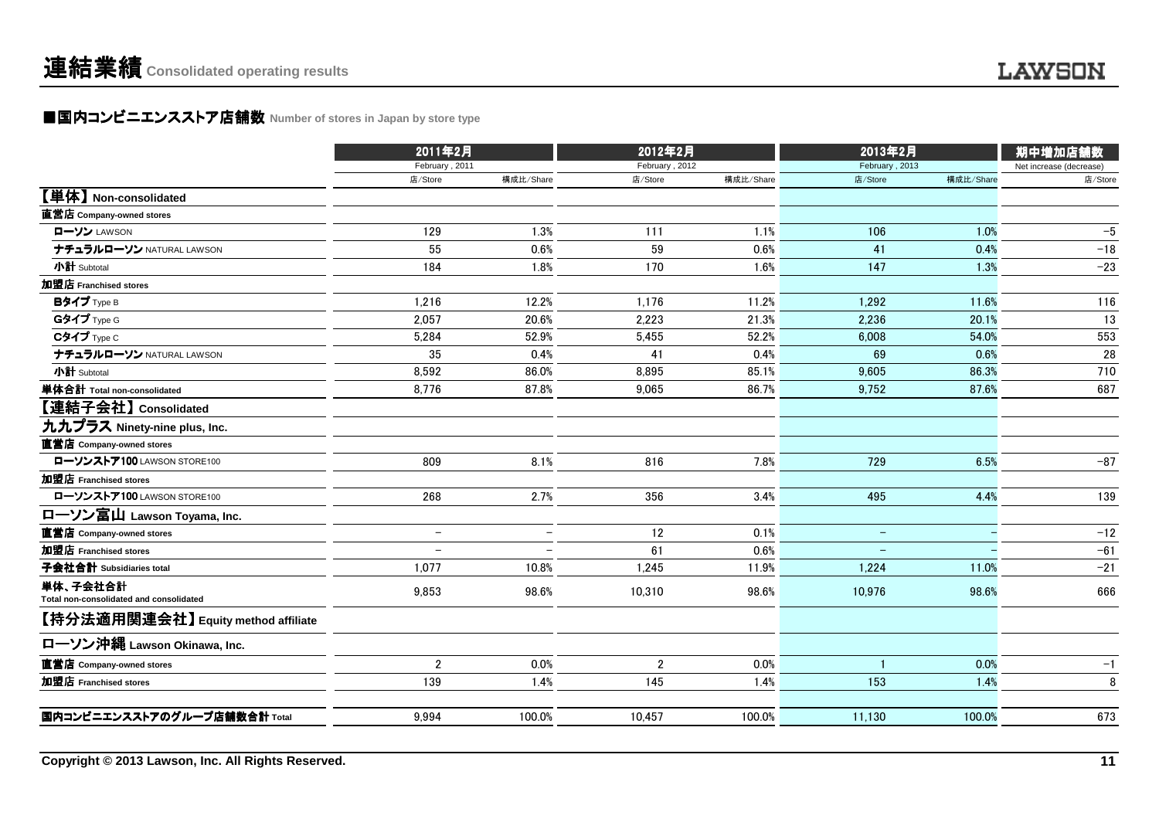### ■国内コンビニエンスストア店舗数 Number of stores in Japan by store type<br> **■国内コンビニエンスストア店舗数** Number of stores in Japan by store type

|                                                     | 2011年2月                  |                          | 2012年2月        |           | 2013年2月           | 期中増加店舗数   |                         |
|-----------------------------------------------------|--------------------------|--------------------------|----------------|-----------|-------------------|-----------|-------------------------|
|                                                     | February, 2011           |                          | February, 2012 |           | February, 2013    |           | Net increase (decrease) |
|                                                     | 店/Store                  | 構成比/Share                | 店/Store        | 構成比/Share | 店/Store           | 構成比/Share | 店/Store                 |
| 【単体】 Non-consolidated                               |                          |                          |                |           |                   |           |                         |
| 直営店 Company-owned stores                            |                          |                          |                |           |                   |           |                         |
| ローソン LAWSON                                         | 129                      | 1.3%                     | 111            | 1.1%      | 106               | 1.0%      | $-5$                    |
| ナチュラルローソン NATURAL LAWSON                            | 55                       | 0.6%                     | 59             | 0.6%      | 41                | 0.4%      | $-18$                   |
| 小計 Subtotal                                         | 184                      | 1.8%                     | 170            | 1.6%      | 147               | 1.3%      | $-23$                   |
| 加盟店 Franchised stores                               |                          |                          |                |           |                   |           |                         |
| Bタイプ Type B                                         | 1,216                    | 12.2%                    | 1,176          | 11.2%     | 1,292             | 11.6%     | 116                     |
| Gタイプ Type G                                         | 2,057                    | 20.6%                    | 2,223          | 21.3%     | 2.236             | 20.1%     | 13                      |
| Cタイプ Type C                                         | 5,284                    | 52.9%                    | 5,455          | 52.2%     | 6,008             | 54.0%     | 553                     |
| ナチュラルローソン NATURAL LAWSON                            | 35                       | 0.4%                     | 41             | 0.4%      | 69                | 0.6%      | 28                      |
| 小計 Subtotal                                         | 8,592                    | 86.0%                    | 8,895          | 85.1%     | 9,605             | 86.3%     | 710                     |
| 単体合計 Total non-consolidated                         | 8,776                    | 87.8%                    | 9,065          | 86.7%     | 9,752             | 87.6%     | 687                     |
| 【連結子会社】 Consolidated                                |                          |                          |                |           |                   |           |                         |
| 九九プラス Ninety-nine plus, Inc.                        |                          |                          |                |           |                   |           |                         |
| 直営店 Company-owned stores                            |                          |                          |                |           |                   |           |                         |
| ローソンストア100 LAWSON STORE100                          | 809                      | 8.1%                     | 816            | 7.8%      | 729               | 6.5%      | $-87$                   |
| 加盟店 Franchised stores                               |                          |                          |                |           |                   |           |                         |
| ローソンストア100 LAWSON STORE100                          | 268                      | 2.7%                     | 356            | 3.4%      | 495               | 4.4%      | 139                     |
| ローソン富山 Lawson Toyama, Inc.                          |                          |                          |                |           |                   |           |                         |
| 直営店 Company-owned stores                            | $\overline{\phantom{m}}$ | $\overline{\phantom{0}}$ | 12             | 0.1%      | $\qquad \qquad -$ |           | $-12$                   |
| 加盟店 Franchised stores                               | $\overline{\phantom{0}}$ |                          | 61             | 0.6%      |                   |           | $-61$                   |
| 子会社合計 Subsidiaries total                            | 1,077                    | 10.8%                    | 1,245          | 11.9%     | 1,224             | 11.0%     | $-21$                   |
| 単体、子会社合計<br>Total non-consolidated and consolidated | 9,853                    | 98.6%                    | 10,310         | 98.6%     | 10,976            | 98.6%     | 666                     |
| 【持分法適用関連会社】Equity method affiliate                  |                          |                          |                |           |                   |           |                         |
| ローソン沖縄 Lawson Okinawa, Inc.                         |                          |                          |                |           |                   |           |                         |
| 直営店 Company-owned stores                            | $\boldsymbol{2}$         | 0.0%                     | $\mathbf 2$    | 0.0%      |                   | 0.0%      | $-1$                    |
| 加盟店 Franchised stores                               | 139                      | 1.4%                     | 145            | 1.4%      | 153               | 1.4%      | 8                       |
| 国内コンビニエンスストアのグループ店舗数合計 Total                        | 9,994                    | 100.0%                   | 10.457         | 100.0%    | 11,130            | 100.0%    | 673                     |
|                                                     |                          |                          |                |           |                   |           |                         |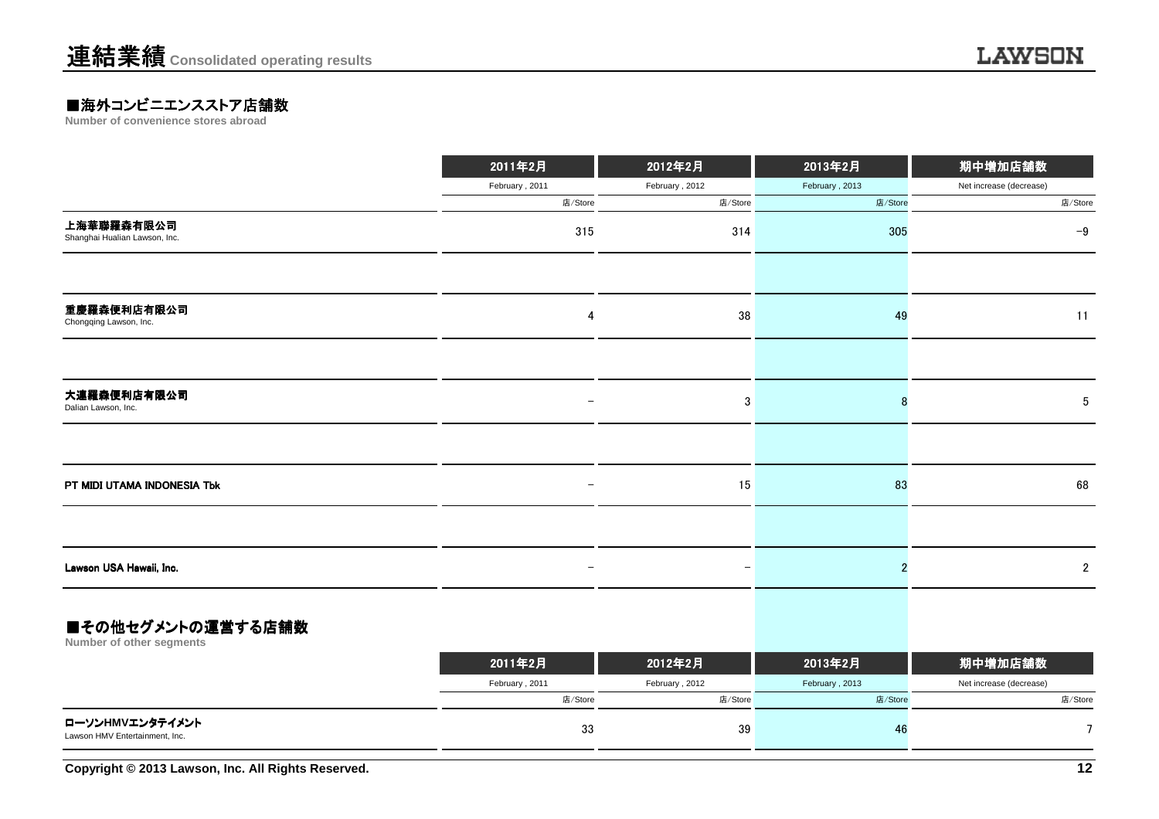## **■海外コンビニエンスストア店舗数**<br>Number of convenience stores abroad

|                                                   | 2011年2月                  | 2012年2月                  | 2013年2月        | 期中増加店舗数                 |
|---------------------------------------------------|--------------------------|--------------------------|----------------|-------------------------|
|                                                   | February, 2011           | February, 2012           | February, 2013 | Net increase (decrease) |
|                                                   | 店/Store                  | 店/Store                  | 店/Store        | 店/Store                 |
| 上海華聯羅森有限公司<br>Shanghai Hualian Lawson, Inc.       | 315                      | 314                      | 305            | $-9$                    |
|                                                   |                          |                          |                |                         |
| 重慶羅森便利店有限公司<br>Chongqing Lawson, Inc.             | 4                        | 38                       | 49             | 11                      |
|                                                   |                          |                          |                |                         |
| 大連羅森便利店有限公司<br>Dalian Lawson, Inc.                | $\overline{\phantom{0}}$ | 3                        | 8              | 5                       |
|                                                   |                          |                          |                |                         |
| PT MIDI UTAMA INDONESIA Tbk                       | $\overline{\phantom{0}}$ | 15                       | 83             | 68                      |
|                                                   |                          |                          |                |                         |
| Lawson USA Hawaii, Inc.                           |                          | $\overline{\phantom{m}}$ | $\overline{2}$ | $\overline{2}$          |
| ■その他セグメントの運営する店舗数<br>Number of other segments     |                          |                          |                |                         |
|                                                   | 2011年2月                  | 2012年2月                  | 2013年2月        | 期中増加店舗数                 |
|                                                   | February, 2011           | February, 2012           | February, 2013 | Net increase (decrease) |
|                                                   | 店/Store                  | 店/Store                  | 店/Store        | 店/Store                 |
| ローソンHMVエンタテイメント<br>Lawson HMV Entertainment, Inc. | 33                       | 39                       | 46             | $\overline{7}$          |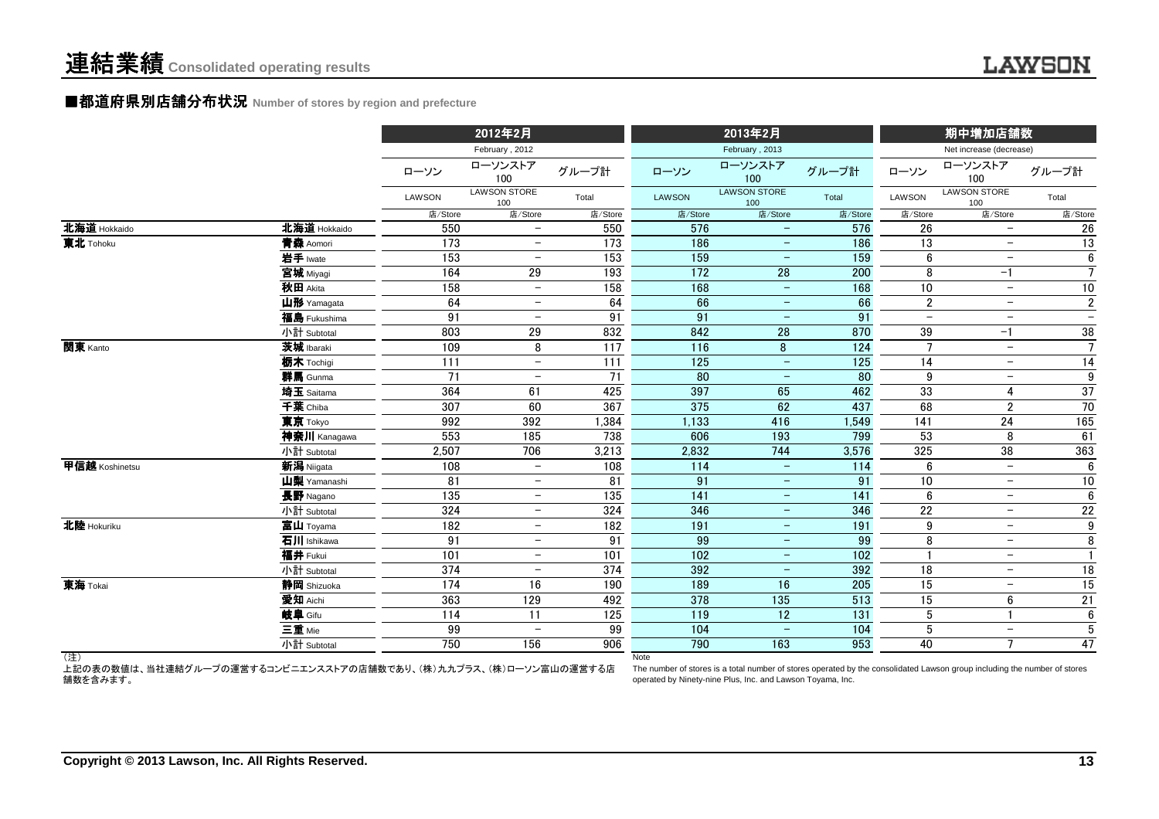#### ■都道府県別店舗分布状況 Number of stores by region and prefecture

|                |                                                                  |         | 2012年2月                    |                 |                  | 2013年2月                                                                                                                   |                  |                  | 期中増加店舗数                    |                          |
|----------------|------------------------------------------------------------------|---------|----------------------------|-----------------|------------------|---------------------------------------------------------------------------------------------------------------------------|------------------|------------------|----------------------------|--------------------------|
|                |                                                                  |         | February, 2012             |                 |                  | February, 2013                                                                                                            |                  |                  | Net increase (decrease)    |                          |
|                |                                                                  | ローソン    | ローソンストア<br>100             | グループ計           | ローソン             | ローソンストア<br>100                                                                                                            | グループ計            | ローソン             | ローソンストア<br>100             | グループ計                    |
|                |                                                                  | LAWSON  | <b>LAWSON STORE</b><br>100 | Total           | <b>LAWSON</b>    | <b>LAWSON STORE</b><br>100                                                                                                | Total            | LAWSON           | <b>LAWSON STORE</b><br>100 | Total                    |
|                |                                                                  | 店/Store | 店/Store                    | 店/Store         | 店/Store          | 店/Store                                                                                                                   | 店/Store          | 店/Store          | 店/Store                    | 店/Store                  |
| 北海道 Hokkaido   | 北海道 Hokkaido                                                     | 550     | $-$                        | 550             | 576              | $\qquad \qquad -$                                                                                                         | 576              | 26               | $\overline{\phantom{0}}$   | 26                       |
| 東北 Tohoku      | 青森 Aomori                                                        | 173     | $\qquad \qquad -$          | 173             | 186              | $\qquad \qquad -$                                                                                                         | 186              | 13               | $-$                        | 13                       |
|                | 岩手 Iwate                                                         | 153     | $\qquad \qquad -$          | 153             | 159              | $\qquad \qquad -$                                                                                                         | 159              | 6                | $\overline{\phantom{m}}$   | $6\phantom{.0}$          |
|                | 宮城 Miyagi                                                        | 164     | 29                         | 193             | 172              | $\overline{28}$                                                                                                           | 200              | 8                | -1                         | $\overline{7}$           |
|                | 秋田 Akita                                                         | 158     | $\overline{\phantom{0}}$   | 158             | 168              | $\overline{\phantom{m}}$                                                                                                  | 168              | 10               | $\overline{\phantom{a}}$   | $10\,$                   |
|                | 山形 Yamagata                                                      | 64      | $\overline{\phantom{0}}$   | 64              | 66               | $\overline{\phantom{m}}$                                                                                                  | 66               | $\boldsymbol{2}$ | $\overline{\phantom{0}}$   | $\sqrt{2}$               |
|                | 福島 Fukushima                                                     | 91      | $-$                        | 91              | 91               | $\overline{\phantom{m}}$                                                                                                  | 91               | $\overline{a}$   | $\overline{\phantom{m}}$   | $\overline{\phantom{0}}$ |
|                | 小計 Subtotal                                                      | 803     | 29                         | 832             | 842              | 28                                                                                                                        | 870              | 39               | $-1$                       | 38                       |
| 関東 Kanto       | 茨城 Ibaraki                                                       | 109     | 8                          | 117             | 116              | 8                                                                                                                         | 124              | $\overline{7}$   | $\overline{\phantom{0}}$   | $\overline{7}$           |
|                | 栃木 Tochigi                                                       | 111     | $\overline{\phantom{a}}$   | 111             | 125              | $\overline{\phantom{m}}$                                                                                                  | 125              | 14               | $\overline{\phantom{m}}$   | 14                       |
|                | 群馬 Gunma                                                         | 71      | $\qquad \qquad -$          | $\overline{71}$ | 80               | $\overline{\phantom{m}}$                                                                                                  | 80               | 9                | $\overline{\phantom{0}}$   | 9                        |
|                | 埼玉 Saitama                                                       | 364     | 61                         | 425             | 397              | 65                                                                                                                        | 462              | 33               | 4                          | 37                       |
|                | 千葉 Chiba                                                         | 307     | 60                         | 367             | 375              | 62                                                                                                                        | 437              | 68               | $\overline{2}$             | 70                       |
|                | 東京 Tokyo                                                         | 992     | 392                        | 1,384           | 1,133            | 416                                                                                                                       | 1,549            | 141              | 24                         | 165                      |
|                | 神奈川 Kanagawa                                                     | 553     | 185                        | 738             | 606              | 193                                                                                                                       | 799              | 53               | 8                          | 61                       |
|                | 小計 Subtotal                                                      | 2,507   | 706                        | 3,213           | 2,832            | 744                                                                                                                       | 3,576            | 325              | 38                         | 363                      |
| 甲信越 Koshinetsu | 新潟 Niigata                                                       | 108     | $-$                        | 108             | 114              | $\overline{\phantom{m}}$                                                                                                  | 114              | $6\phantom{1}6$  | $\overline{\phantom{0}}$   | $6\phantom{1}$           |
|                | 山梨 Yamanashi                                                     | 81      |                            | 81              | 91               | $\qquad \qquad -$                                                                                                         | 91               | 10               | $\overline{\phantom{m}}$   | $10\,$                   |
|                | 長野 Nagano                                                        | 135     | $\qquad \qquad -$          | 135             | $\overline{141}$ | $\qquad \qquad -$                                                                                                         | 141              | $6\phantom{1}6$  | $\qquad \qquad -$          | $\overline{6}$           |
|                | 小計 Subtotal                                                      | 324     | $\qquad \qquad -$          | 324             | 346              | $\overline{\phantom{0}}$                                                                                                  | 346              | $\overline{22}$  | $\overline{\phantom{m}}$   | 22                       |
| 北陸 Hokuriku    | 富山 Toyama                                                        | 182     | $\qquad \qquad -$          | 182             | 191              | $\qquad \qquad -$                                                                                                         | 191              | 9                | $\overline{\phantom{m}}$   | $\overline{9}$           |
|                | 石川 Ishikawa                                                      | 91      | $\qquad \qquad -$          | 91              | 99               |                                                                                                                           | 99               | 8                | $\overline{\phantom{0}}$   | 8                        |
|                | 福井 Fukui                                                         | 101     | $\qquad \qquad -$          | 101             | 102              | $\qquad \qquad -$                                                                                                         | 102              |                  | $\overline{\phantom{m}}$   | $\mathbf{1}$             |
|                | 小計 Subtotal                                                      | 374     | $\overline{\phantom{0}}$   | 374             | 392              |                                                                                                                           | 392              | 18               | $\qquad \qquad -$          | 18                       |
| 東海 Tokai       | 静岡 Shizuoka                                                      | 174     | 16                         | 190             | 189              | 16                                                                                                                        | 205              | 15               | $\overline{\phantom{m}}$   | 15                       |
|                | 愛知 Aichi                                                         | 363     | 129                        | 492             | 378              | 135                                                                                                                       | 513              | 15               | 6                          | 21                       |
|                | 岐阜 Gifu                                                          | 114     | 11                         | 125             | 119              | $\overline{12}$                                                                                                           | $\overline{131}$ | 5                |                            | $6\phantom{.0}$          |
|                | 三重 Mie                                                           | 99      |                            | 99              | 104              |                                                                                                                           | 104              | 5                | $\overline{\phantom{m}}$   | 5                        |
|                | 小計 Subtotal                                                      | 750     | 156                        | 906             | 790              | 163                                                                                                                       | 953              | 40               | $\overline{ }$             | 47                       |
| (注)            | 上記の表の数値は、当社連結グループの運営するコンビニエンスストアの店舗数であり、(株)九九プラス、(株)ローソン富山の運営する店 |         |                            |                 | <b>Note</b>      | The number of stores is a total number of stores operated by the consolidated Lawson group including the number of stores |                  |                  |                            |                          |

舗数を含みます。

 The number of stores is a total number of stores operated by the consolidated Lawson group including the number of storesoperated by Ninety-nine Plus, Inc. and Lawson Toyama, Inc.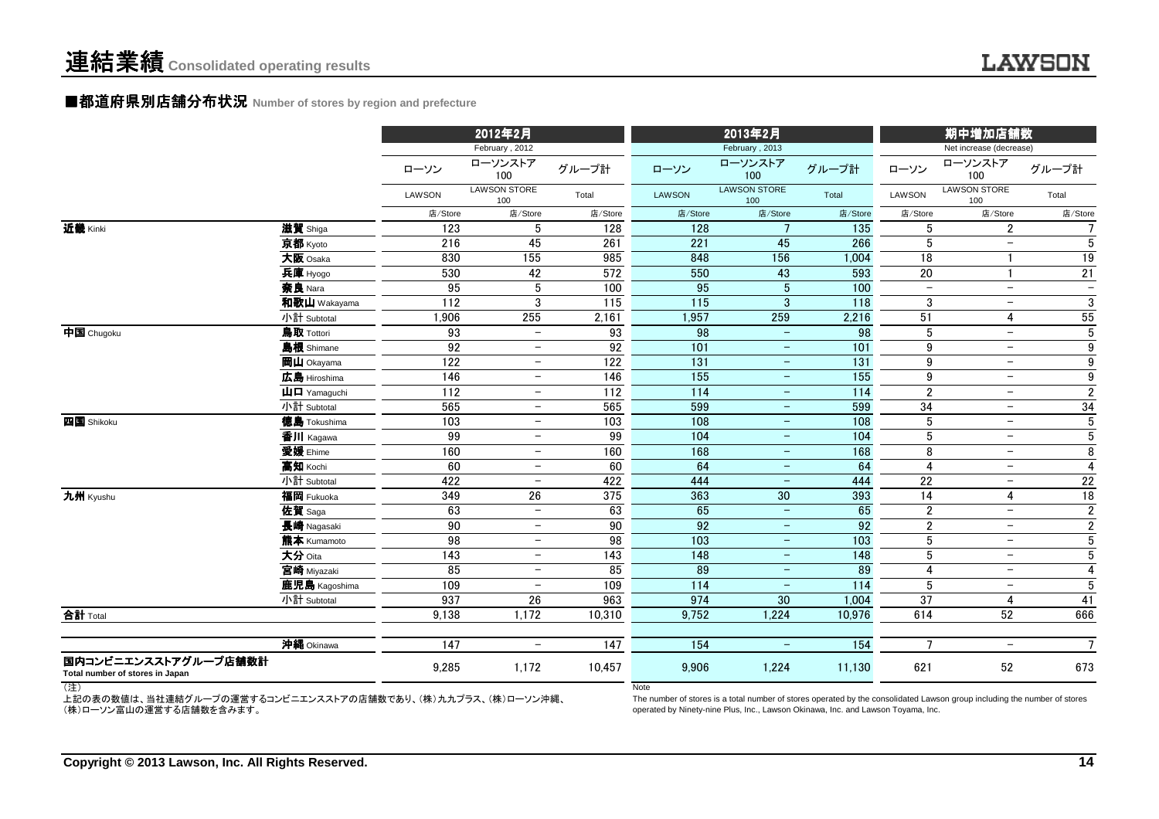#### ■都道府県別店舗分布状況 Number of stores by region and prefecture

|                                                         |                                                      |                  | 2012年2月                          |                  |                   | 2013年2月                          |                  | 期中増加店舗数<br>Net increase (decrease) |                            |                          |
|---------------------------------------------------------|------------------------------------------------------|------------------|----------------------------------|------------------|-------------------|----------------------------------|------------------|------------------------------------|----------------------------|--------------------------|
|                                                         |                                                      | ローソン             | February, 2012<br>ローソンストア<br>100 | グループ計            | ローソン              | February, 2013<br>ローソンストア<br>100 | グループ計            | ローソン                               | ローソンストア<br>100             | グループ計                    |
|                                                         |                                                      | LAWSON           | <b>LAWSON STORE</b><br>100       | Total            | <b>LAWSON</b>     | <b>LAWSON STORE</b><br>100       | Total            | LAWSON                             | <b>LAWSON STORE</b><br>100 | Total                    |
|                                                         |                                                      | 店/Store          | 店/Store                          | 店/Store          | 店/Store           | 店/Store                          | 店/Store          | 店/Store                            | 店/Store                    | 店/Store                  |
| 近畿 Kinki                                                | 滋賀 Shiga                                             | 123              | 5                                | 128              | 128               | $\overline{7}$                   | 135              | $\sqrt{5}$                         | $\sqrt{2}$                 | $\overline{7}$           |
|                                                         | 京都 Kyoto                                             | 216              | 45                               | 261              | 221               | 45                               | 266              | $5\,$                              | $\overline{\phantom{m}}$   | $5\phantom{.0}$          |
|                                                         | 大阪 Osaka                                             | 830              | 155                              | 985              | 848               | 156                              | 1,004            | $\overline{18}$                    |                            | 19                       |
|                                                         | 兵庫 Hyogo                                             | 530              | 42                               | 572              | 550               | 43                               | 593              | $20\,$                             |                            | 21                       |
|                                                         | 奈良 Nara                                              | 95               | 5                                | 100              | 95                | $\overline{5}$                   | 100              |                                    | $\overline{\phantom{0}}$   | $\overline{\phantom{m}}$ |
|                                                         | 和歌山 Wakayama                                         | 112              | 3                                | $\overline{115}$ | $\frac{115}{115}$ | 3                                | 118              | 3                                  |                            | $\mathbf{3}$             |
|                                                         | 小計 Subtotal                                          | 1,906            | 255                              | 2,161            | 1,957             | 259                              | 2,216            | 51                                 | $\overline{4}$             | 55                       |
| 中国 Chugoku                                              | 鳥取 Tottori                                           | 93               | $\overline{\phantom{0}}$         | 93               | 98                | $\equiv$                         | 98               | 5                                  | $\equiv$                   | $\sqrt{5}$               |
|                                                         | 島根 Shimane                                           | 92               | $\qquad \qquad -$                | 92               | 101               | $\overline{\phantom{m}}$         | 101              | 9                                  | $\overline{\phantom{m}}$   | 9                        |
|                                                         | 岡山 Okayama                                           | 122              | $\qquad \qquad -$                | 122              | 131               | $-$                              | 131              | 9                                  | $\overline{\phantom{m}}$   | 9                        |
|                                                         | 広島 Hiroshima                                         | 146              | $-$                              | 146              | 155               | $\overline{\phantom{a}}$         | 155              | $\boldsymbol{9}$                   | $-$                        | 9                        |
|                                                         | $\mathbf{\mathsf{H}}\mathbf{\mathsf{\Pi}}$ Yamaguchi | 112              | $-$                              | 112              | 114               | $\overline{\phantom{m}}$         | 114              | $\overline{2}$                     | $-$                        | $\overline{2}$           |
|                                                         | 小計 Subtotal                                          | 565              | $\qquad \qquad -$                | 565              | 599               | $-$                              | 599              | 34                                 | $-$                        | 34                       |
| 四国 Shikoku                                              | 徳島 Tokushima                                         | 103              | $\qquad \qquad -$                | 103              | 108               | $\overline{\phantom{m}}$         | 108              | $5\,$                              | $\overline{\phantom{m}}$   | $5\phantom{.0}$          |
|                                                         | 香川 Kagawa                                            | 99               | $\qquad \qquad -$                | 99               | 104               | $\qquad \qquad -$                | 104              | $\sqrt{5}$                         | $-$                        | $\overline{5}$           |
|                                                         | 愛媛 Ehime                                             | 160              | $\qquad \qquad -$                | 160              | 168               | $\overline{\phantom{m}}$         | 168              | 8                                  | $\overline{\phantom{m}}$   | $\overline{8}$           |
|                                                         | 高知 Kochi                                             | 60               | $\overline{\phantom{m}}$         | 60               | 64                | $\overline{\phantom{m}}$         | 64               | 4                                  | $\overline{\phantom{m}}$   | $\overline{4}$           |
|                                                         | 小計 Subtotal                                          | 422              | $\overline{\phantom{0}}$         | 422              | 444               | $\overline{\phantom{m}}$         | 444              | 22                                 | $\overline{\phantom{m}}$   | 22                       |
| 九州 Kyushu                                               | 福岡 Fukuoka                                           | 349              | $\overline{26}$                  | 375              | 363               | 30                               | 393              | 14                                 | 4                          | 18                       |
|                                                         | 佐賀 Saga                                              | 63               | $\overline{\phantom{0}}$         | 63               | 65                | $\overline{\phantom{m}}$         | 65               | $\boldsymbol{2}$                   | $\overline{\phantom{0}}$   | $\sqrt{2}$               |
|                                                         | 長崎 Nagasaki                                          | 90               | $\overline{\phantom{0}}$         | 90               | 92                | $\overline{\phantom{m}}$         | 92               | $\sqrt{2}$                         | $\overline{\phantom{m}}$   | $\overline{2}$           |
|                                                         | 熊本 Kumamoto                                          | 98               | $\overline{\phantom{0}}$         | 98               | 103               | $\overline{\phantom{m}}$         | 103              | 5                                  | $\overline{\phantom{m}}$   | $\overline{5}$           |
|                                                         | 大分 Oita                                              | $\frac{143}{ }$  | $\overline{\phantom{0}}$         | $\overline{143}$ | 148               | $\overline{\phantom{m}}$         | $\overline{148}$ | $\sqrt{5}$                         | $\overline{\phantom{m}}$   | $\overline{5}$           |
|                                                         | 宮崎 Miyazaki                                          | 85               | $\overline{\phantom{0}}$         | 85               | 89                | $\overline{\phantom{m}}$         | 89               | 4                                  | $\overline{\phantom{m}}$   | $\overline{4}$           |
|                                                         | 鹿児島 Kagoshima                                        | 109              | $\overline{\phantom{0}}$         | 109              | 114               | $\overline{\phantom{m}}$         | 114              | $5\,$                              | $\overline{\phantom{m}}$   | $5\phantom{.0}$          |
|                                                         | 小計 Subtotal                                          | 937              | 26                               | 963              | 974               | 30                               | 1,004            | $\overline{37}$                    | 4                          | 41                       |
| 合計 Total                                                |                                                      | 9,138            | 1,172                            | 10,310           | 9,752             | 1,224                            | 10,976           | 614                                | 52                         | 666                      |
|                                                         | 沖縄 Okinawa                                           | $\overline{147}$ | $\overline{\phantom{0}}$         | $\overline{147}$ | 154               |                                  | 154              | $\overline{7}$                     | $\overline{\phantom{m}}$   | $\overline{7}$           |
| 国内コンビニエンスストアグループ店舗数計<br>Total number of stores in Japan |                                                      | 9,285            | 1,172                            | 10,457           | 9,906             | 1,224                            | 11,130           | 621                                | 52                         | 673                      |
| (注)                                                     |                                                      |                  |                                  |                  | <b>Note</b>       |                                  |                  |                                    |                            |                          |

(注)

 上記の表の数値は、当社連結グループの運営するコンビニエンスストアの店舗数であり、(株)九九プラス、(株)ローソン沖縄、(株)ローソン富山の運営する店舗数を含みます。

 The number of stores is a total number of stores operated by the consolidated Lawson group including the number of storesoperated by Ninety-nine Plus, Inc., Lawson Okinawa, Inc. and Lawson Toyama, Inc.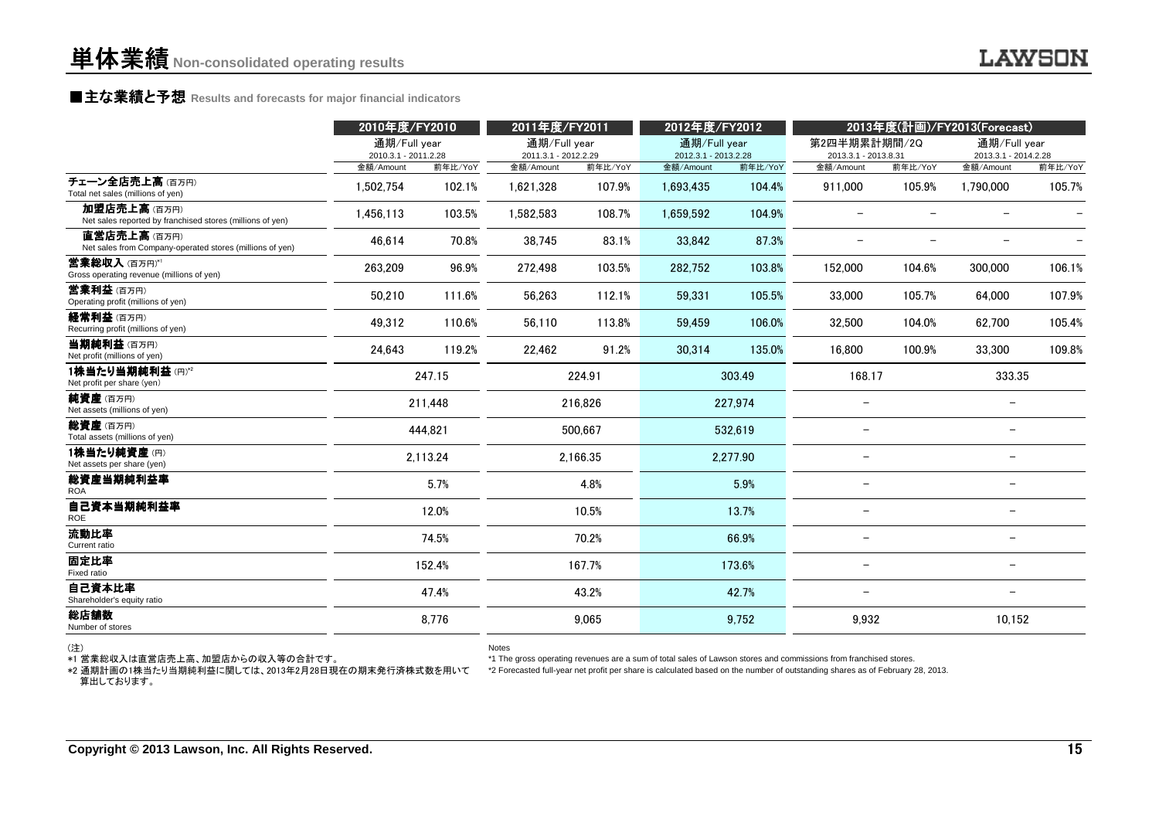### **■主な業績と予想** Results and forecasts for major financial indicators<br>
————————————————————

|                                                                                             | 2010年度/FY2010                        |          | 2011年度/FY2011                        |          | 2012年度/FY2012                                                                                                                                                                                                                                      |          |                                      |                          | 2013年度(計画)/FY2013(Forecast)          |         |
|---------------------------------------------------------------------------------------------|--------------------------------------|----------|--------------------------------------|----------|----------------------------------------------------------------------------------------------------------------------------------------------------------------------------------------------------------------------------------------------------|----------|--------------------------------------|--------------------------|--------------------------------------|---------|
|                                                                                             | 通期/Full year<br>2010.3.1 - 2011.2.28 |          | 通期/Full year<br>2011.3.1 - 2012.2.29 |          | 通期/Full year<br>2012.3.1 - 2013.2.28                                                                                                                                                                                                               |          | 第2四半期累計期間/2Q<br>2013.3.1 - 2013.8.31 |                          | 通期/Full year<br>2013.3.1 - 2014.2.28 |         |
|                                                                                             | 金額/Amount                            | 前年比/YoY  | 金額/Amount                            | 前年比/YoY  | 金額/Amount                                                                                                                                                                                                                                          | 前年比/YoY  | 金額/Amount                            | 前年比/YoY                  | 金額/Amount                            | 前年比/YoY |
| チェーン全店売上高(百万円)<br>Total net sales (millions of yen)                                         | 1,502,754                            | 102.1%   | 1,621,328                            | 107.9%   | 1,693,435                                                                                                                                                                                                                                          | 104.4%   | 911,000                              | 105.9%                   | 1,790,000                            | 105.7%  |
| 加盟店売上高(百万円)<br>Net sales reported by franchised stores (millions of yen)                    | 1.456.113                            | 103.5%   | 1.582.583                            | 108.7%   | 1,659,592                                                                                                                                                                                                                                          | 104.9%   | $\overline{\phantom{0}}$             | $\overline{\phantom{0}}$ |                                      |         |
| 直営店売上高(百万円)<br>Net sales from Company-operated stores (millions of yen)                     | 46.614                               | 70.8%    | 38.745                               | 83.1%    | 33.842                                                                                                                                                                                                                                             | 87.3%    |                                      | $\overline{\phantom{0}}$ |                                      |         |
| 営業総収入(百万円)*1<br>Gross operating revenue (millions of yen)                                   | 263,209                              | 96.9%    | 272,498                              | 103.5%   | 282.752                                                                                                                                                                                                                                            | 103.8%   | 152,000                              | 104.6%                   | 300,000                              | 106.1%  |
| 営業利益 (百万円)<br>Operating profit (millions of yen)                                            | 50,210                               | 111.6%   | 56,263                               | 112.1%   | 59.331                                                                                                                                                                                                                                             | 105.5%   | 33,000                               | 105.7%                   | 64.000                               | 107.9%  |
| 経常利益(百万円)<br>Recurring profit (millions of yen)                                             | 49.312                               | 110.6%   | 56.110                               | 113.8%   | 59.459                                                                                                                                                                                                                                             | 106.0%   | 32,500                               | 104.0%                   | 62.700                               | 105.4%  |
| 当期純利益 (百万円)<br>Net profit (millions of yen)                                                 | 24,643                               | 119.2%   | 22,462                               | 91.2%    | 30,314                                                                                                                                                                                                                                             | 135.0%   | 16,800                               | 100.9%                   | 33,300                               | 109.8%  |
| 1株当たり当期純利益(円)*2<br>Net profit per share (yen)                                               | 247.15                               |          |                                      | 224.91   |                                                                                                                                                                                                                                                    | 303.49   | 168.17                               |                          | 333.35                               |         |
| 純資産(百万円)<br>Net assets (millions of yen)                                                    |                                      | 211.448  |                                      | 216.826  |                                                                                                                                                                                                                                                    | 227.974  | $\overline{\phantom{0}}$             |                          |                                      |         |
| 総資産(百万円)<br>Total assets (millions of yen)                                                  |                                      | 444.821  |                                      | 500.667  |                                                                                                                                                                                                                                                    | 532,619  |                                      |                          | $\overline{\phantom{0}}$             |         |
| 1株当たり純資産(円)<br>Net assets per share (yen)                                                   |                                      | 2,113.24 |                                      | 2,166.35 |                                                                                                                                                                                                                                                    | 2,277.90 |                                      |                          | $\overline{\phantom{m}}$             |         |
| 総資産当期純利益率<br><b>ROA</b>                                                                     |                                      | 5.7%     |                                      | 4.8%     |                                                                                                                                                                                                                                                    | 5.9%     |                                      |                          |                                      |         |
| 自己資本当期純利益率<br><b>ROE</b>                                                                    |                                      | 12.0%    |                                      | 10.5%    | 13.7%                                                                                                                                                                                                                                              |          |                                      |                          | $\overline{\phantom{0}}$             |         |
| 流動比率<br>Current ratio                                                                       |                                      | 74.5%    |                                      | 70.2%    |                                                                                                                                                                                                                                                    | 66.9%    |                                      |                          | $\overline{\phantom{m}}$             |         |
| 固定比率<br>Fixed ratio                                                                         |                                      | 152.4%   |                                      | 167.7%   |                                                                                                                                                                                                                                                    | 173.6%   |                                      |                          | $\overline{\phantom{m}}$             |         |
| 自己資本比率<br>Shareholder's equity ratio                                                        |                                      | 47.4%    |                                      | 43.2%    |                                                                                                                                                                                                                                                    | 42.7%    |                                      |                          | $\overline{\phantom{0}}$             |         |
| 総店舗数<br>Number of stores                                                                    |                                      | 8,776    |                                      | 9,065    |                                                                                                                                                                                                                                                    | 9,752    | 9,932                                |                          | 10,152                               |         |
| (注)<br>*1 営業総収入は直営店売上高、加盟店からの収入等の合計です。<br>*2 通期計画の1株当たり当期純利益に関しては、2013年2月28日現在の期末発行済株式数を用いて |                                      |          | Notes                                |          | *1 The gross operating revenues are a sum of total sales of Lawson stores and commissions from franchised stores.<br>*2 Forecasted full-year net profit per share is calculated based on the number of outstanding shares as of February 28, 2013. |          |                                      |                          |                                      |         |

算出しております。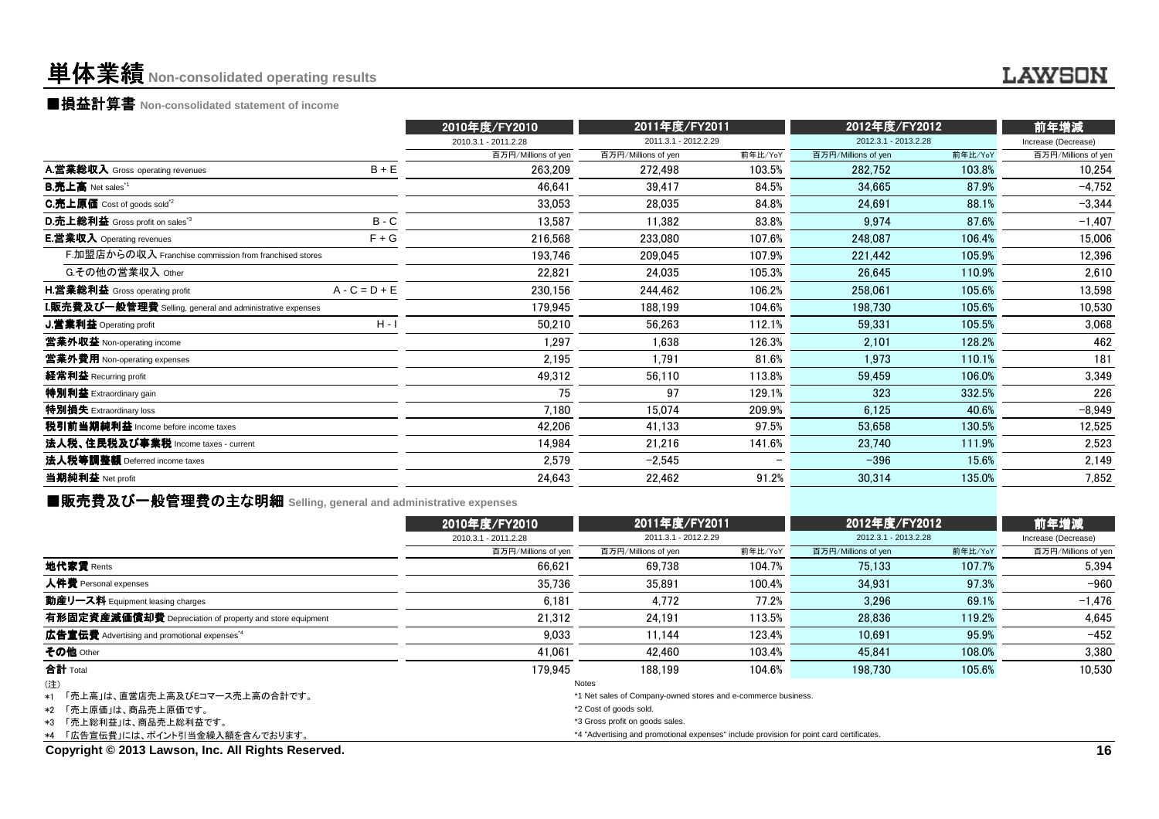## 単体業績**Non-consolidated operating results**

■損益計算書 **Non-consolidated statement of income**

|                                                                  |                 | 2010年度/FY2010        | 2011年度/FY2011        |         | 2012年度/FY2012        | 前年増減    |                     |
|------------------------------------------------------------------|-----------------|----------------------|----------------------|---------|----------------------|---------|---------------------|
|                                                                  |                 | 2010.3.1 - 2011.2.28 | 2011.3.1 - 2012.2.29 |         | 2012.3.1 - 2013.2.28 |         | Increase (Decrease) |
|                                                                  |                 | 百万円/Millions of yen  | 百万円/Millions of yen  | 前年比/YoY | 百万円/Millions of yen  | 前年比/YoY | 百万円/Millions of yen |
| A.営業総収入 Gross operating revenues                                 | $B + E$         | 263,209              | 272,498              | 103.5%  | 282,752              | 103.8%  | 10,254              |
| <b>B.売上高</b> Net sales <sup>*1</sup>                             |                 | 46,641               | 39,417               | 84.5%   | 34,665               | 87.9%   | $-4,752$            |
| C.売上原価 Cost of goods sold <sup>"2</sup>                          |                 | 33,053               | 28,035               | 84.8%   | 24,691               | 88.1%   | $-3,344$            |
| D.売上総利益 Gross profit on sales <sup>3</sup>                       | $B - C$         | 13,587               | 11.382               | 83.8%   | 9.974                | 87.6%   | $-1,407$            |
| <b>E.営業収入</b> Operating revenues                                 | $F + G$         | 216,568              | 233,080              | 107.6%  | 248,087              | 106.4%  | 15,006              |
| F.加盟店からの収入 Franchise commission from franchised stores           |                 | 193,746              | 209,045              | 107.9%  | 221,442              | 105.9%  | 12,396              |
| G.その他の営業収入 Other                                                 |                 | 22,821               | 24,035               | 105.3%  | 26,645               | 110.9%  | 2,610               |
| <b>H.営業総利益</b> Gross operating profit                            | $A - C = D + E$ | 230,156              | 244,462              | 106.2%  | 258,061              | 105.6%  | 13,598              |
| <b>I.販売費及び一般管理費</b> Selling, general and administrative expenses |                 | 179,945              | 188,199              | 104.6%  | 198,730              | 105.6%  | 10,530              |
| J.営業利益 Operating profit                                          | $H - I$         | 50,210               | 56,263               | 112.1%  | 59,331               | 105.5%  | 3,068               |
| 當業外収益 Non-operating income                                       |                 | 1,297                | 1,638                | 126.3%  | 2.101                | 128.2%  | 462                 |
| 営業外費用 Non-operating expenses                                     |                 | 2,195                | 1,791                | 81.6%   | 1.973                | 110.1%  | 181                 |
| 経常利益 Recurring profit                                            |                 | 49,312               | 56,110               | 113.8%  | 59,459               | 106.0%  | 3,349               |
| 特別利益 Extraordinary gain                                          |                 | 75                   | 97                   | 129.1%  | 323                  | 332.5%  | 226                 |
| 特別損失 Extraordinary loss                                          |                 | 7,180                | 15,074               | 209.9%  | 6,125                | 40.6%   | $-8,949$            |
| 税引前当期純利益 Income before income taxes                              |                 | 42,206               | 41,133               | 97.5%   | 53,658               | 130.5%  | 12,525              |
| 法人税、住民税及び事業税 Income taxes - current                              |                 | 14.984               | 21,216               | 141.6%  | 23,740               | 111.9%  | 2,523               |
| 法人税等調整額 Deferred income taxes                                    |                 | 2,579                | $-2,545$             |         | $-396$               | 15.6%   | 2,149               |
| 当期純利益 Net profit                                                 |                 | 24,643               | 22,462               | 91.2%   | 30,314               | 135.0%  | 7,852               |
|                                                                  |                 |                      |                      |         |                      |         |                     |

■販売費及び一般管理費の主な明細 **Selling, general and administrative expenses**

|                                                          | 2010年度/FY2010        | 2011年度/FY2011                                                                            |         | 2012年度/FY2012        |         | 前年増減                |
|----------------------------------------------------------|----------------------|------------------------------------------------------------------------------------------|---------|----------------------|---------|---------------------|
|                                                          | 2010.3.1 - 2011.2.28 | 2011.3.1 - 2012.2.29                                                                     |         | 2012.3.1 - 2013.2.28 |         | Increase (Decrease) |
|                                                          | 百万円/Millions of yen  | 百万円/Millions of yen                                                                      | 前年比/YoY | 百万円/Millions of yen  | 前年比/YoY | 百万円/Millions of yen |
| 地代家賃 Rents                                               | 66.621               | 69.738                                                                                   | 104.7%  | 75.133               | 107.7%  | 5.394               |
| 人件費 Personal expenses                                    | 35.736               | 35.891                                                                                   | 100.4%  | 34.931               | 97.3%   | $-960$              |
| 動産リース料 Equipment leasing charges                         | 6.181                | 4.772                                                                                    | 77.2%   | 3.296                | 69.1%   | $-1.476$            |
| 有形固定資産減価償却費 Depreciation of property and store equipment | 21.312               | 24.191                                                                                   | 113.5%  | 28.836               | 119.2%  | 4.645               |
| 広告宣伝費 Advertising and promotional expenses <sup>*4</sup> | 9.033                | 11.144                                                                                   | 123.4%  | 10.691               | 95.9%   | $-452$              |
| その他 Other                                                | 41.061               | 42.460                                                                                   | 103.4%  | 45.841               | 108.0%  | 3,380               |
| 合計 Total                                                 | 179.945              | 188.199                                                                                  | 104.6%  | 198.730              | 105.6%  | 10.530              |
| (注)                                                      |                      | <b>Notes</b>                                                                             |         |                      |         |                     |
| *1 「売上高 Iは、直営店売上高及びEコマース売上高の合計です。                        |                      | *1 Net sales of Company-owned stores and e-commerce business.                            |         |                      |         |                     |
| *2 「売上原価」は、商品売上原価です。                                     |                      | *2 Cost of goods sold.                                                                   |         |                      |         |                     |
| *3 「売上総利益」は、商品売上総利益です。                                   |                      | *3 Gross profit on goods sales.                                                          |         |                      |         |                     |
| *4 「広告宣伝費」には、ポイント引当金繰入額を含んでおります。                         |                      | *4 "Advertising and promotional expenses" include provision for point card certificates. |         |                      |         |                     |
| Copyright © 2013 Lawson, Inc. All Rights Reserved.       |                      |                                                                                          |         |                      |         | 16                  |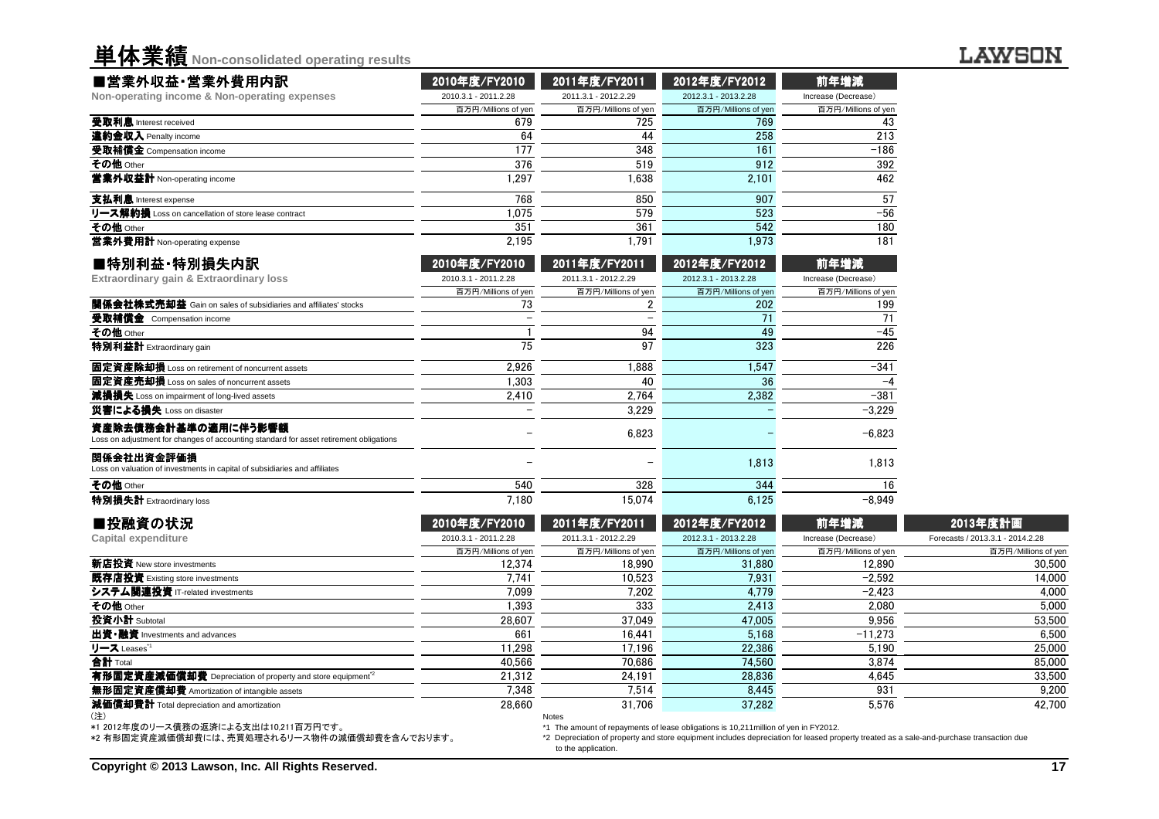単体業績**Non-consolidated operating results**

| ■営業外収益・営業外費用内訳                                                                                                | 2010年度/FY2010        | 2011年度/FY2011        | 2012年度/FY2012        | 前年増減                |
|---------------------------------------------------------------------------------------------------------------|----------------------|----------------------|----------------------|---------------------|
| Non-operating income & Non-operating expenses                                                                 | 2010.3.1 - 2011.2.28 | 2011.3.1 - 2012.2.29 | 2012.3.1 - 2013.2.28 | Increase (Decrease) |
|                                                                                                               | 百万円/Millions of yen  | 百万円/Millions of yen  | 百万円/Millions of yen  | 百万円/Millions of yen |
| 受取利息 Interest received                                                                                        | 679                  | 725                  | 769                  | 43                  |
| 違約金収入 Penalty income                                                                                          | 64                   | 44                   | 258                  | 213                 |
| 受取補償金 Compensation income                                                                                     | 177                  | 348                  | 161                  | $-186$              |
| その他 Other                                                                                                     | 376                  | 519                  | 912                  | 392                 |
| 営業外収益計 Non-operating income                                                                                   | 1,297                | 1,638                | 2,101                | 462                 |
| 支払利息 Interest expense                                                                                         | 768                  | 850                  | 907                  | 57                  |
| リース解約損 Loss on cancellation of store lease contract                                                           | 1.075                | 579                  | 523                  | $-56$               |
| その他 Other                                                                                                     | 351                  | 361                  | 542                  | 180                 |
| 営業外費用計 Non-operating expense                                                                                  | 2.195                | 1.791                | 1,973                | 181                 |
| ■特別利益·特別損失内訳                                                                                                  | 2010年度/FY2010        | 2011年度/FY2011        | 2012年度/FY2012        | 前年増減                |
| Extraordinary gain & Extraordinary loss                                                                       | 2010.3.1 - 2011.2.28 | 2011.3.1 - 2012.2.29 | 2012.3.1 - 2013.2.28 | Increase (Decrease) |
|                                                                                                               | 百万円/Millions of yen  | 百万円/Millions of yen  | 百万円/Millions of yen  | 百万円/Millions of yen |
| 関係会社株式売却益 Gain on sales of subsidiaries and affiliates' stocks                                                | 73                   | 2                    | 202                  | 199                 |
| 受取補償金 Compensation income                                                                                     |                      |                      | 71                   | 71                  |
| その他 Other                                                                                                     |                      | 94                   | 49                   | $-45$               |
| 特別利益計 Extraordinary gain                                                                                      | 75                   | 97                   | 323                  | 226                 |
| 固定資産除却損 Loss on retirement of noncurrent assets                                                               | 2.926                | 1.888                | 1.547                | $-341$              |
| 固定資産売却損 Loss on sales of noncurrent assets                                                                    | 1.303                | 40                   | 36                   | $-4$                |
| 減損損失 Loss on impairment of long-lived assets                                                                  | 2.410                | 2.764                | 2.382                | $-381$              |
| 災害による損失 Loss on disaster                                                                                      |                      | 3,229                |                      | $-3,229$            |
| 資産除去債務会計基準の適用に伴う影響額<br>Loss on adjustment for changes of accounting standard for asset retirement obligations |                      | 6,823                |                      | $-6.823$            |
| 関係会社出資金評価損<br>Loss on valuation of investments in capital of subsidiaries and affiliates                      |                      |                      | 1.813                | 1.813               |
| その他 Other                                                                                                     | 540                  | 328                  | 344                  | 16                  |
| 特別場生計 Extraordinary logo                                                                                      | 7190                 | 15074                | 6125                 | $-9.040$            |

| 特別損失計 Extraordinary loss                                              | 7,180                | 15.074               | 6.125                | -8.949              |                                  |
|-----------------------------------------------------------------------|----------------------|----------------------|----------------------|---------------------|----------------------------------|
| ■投融資の状況                                                               | 2010年度/FY2010        | 2011年度/FY2011        | 2012年度/FY2012        | 前年増減                | 2013年度計画                         |
| Capital expenditure                                                   | 2010.3.1 - 2011.2.28 | 2011.3.1 - 2012.2.29 | 2012.3.1 - 2013.2.28 | Increase (Decrease) | Forecasts / 2013.3.1 - 2014.2.28 |
|                                                                       | 百万円/Millions of yen  | 百万円/Millions of yen  | 百万円/Millions of yen  | 百万円/Millions of yen | 百万円/Millions of yen              |
| <b>新店投資</b> New store investments                                     | 12.374               | 18.990               | 31,880               | 12.890              | 30,500                           |
| 既存店投資 Existing store investments                                      | 7,741                | 10.523               | 7.931                | $-2.592$            | 14.000                           |
| システム関連投資 IT-related investments                                       | 7.099                | 7.202                | 4.779                | $-2.423$            | 4,000                            |
| その他 Other                                                             | 1.393                | 333                  | 2,413                | 2.080               | 5,000                            |
| 投資小計 Subtotal                                                         | 28.607               | 37.049               | 47,005               | 9,956               | 53,500                           |
| 出資•融資 Investments and advances                                        | 661                  | 16.441               | 5.168                | $-11.273$           | 6,500                            |
| リース Leases <sup>*1</sup>                                              | 11.298               | 17.196               | 22.386               | 5.190               | 25,000                           |
| 合計 Total                                                              | 40.566               | 70.686               | 74.560               | 3.874               | 85,000                           |
| 有形固定資産減価償却費 Depreciation of property and store equipment <sup>2</sup> | 21.312               | 24.191               | 28.836               | 4.645               | 33,500                           |
| 無形固定資産償却費 Amortization of intangible assets                           | 7.348                | 7.514                | 8,445                | 931                 | 9,200                            |
| 減価償却費計 Total depreciation and amortization                            | 28,660               | 31.706               | 37,282               | 5,576               | 42.700                           |
| (注)                                                                   |                      | Notes                |                      |                     |                                  |

(注) \*1 2012年度のリース債務の返済による支出は10,211百万円です。

特別損失計 Extraordinary loss

\*2 有形固定資産減価償却費には、売買処理されるリース物件の減価償却費を含んでおります。

\*1 The amount of repayments of lease obligations is 10,211million of yen in FY2012.

 \*2 Depreciation of property and store equipment includes depreciation for leased property treated as a sale-and-purchase transaction dueto the application.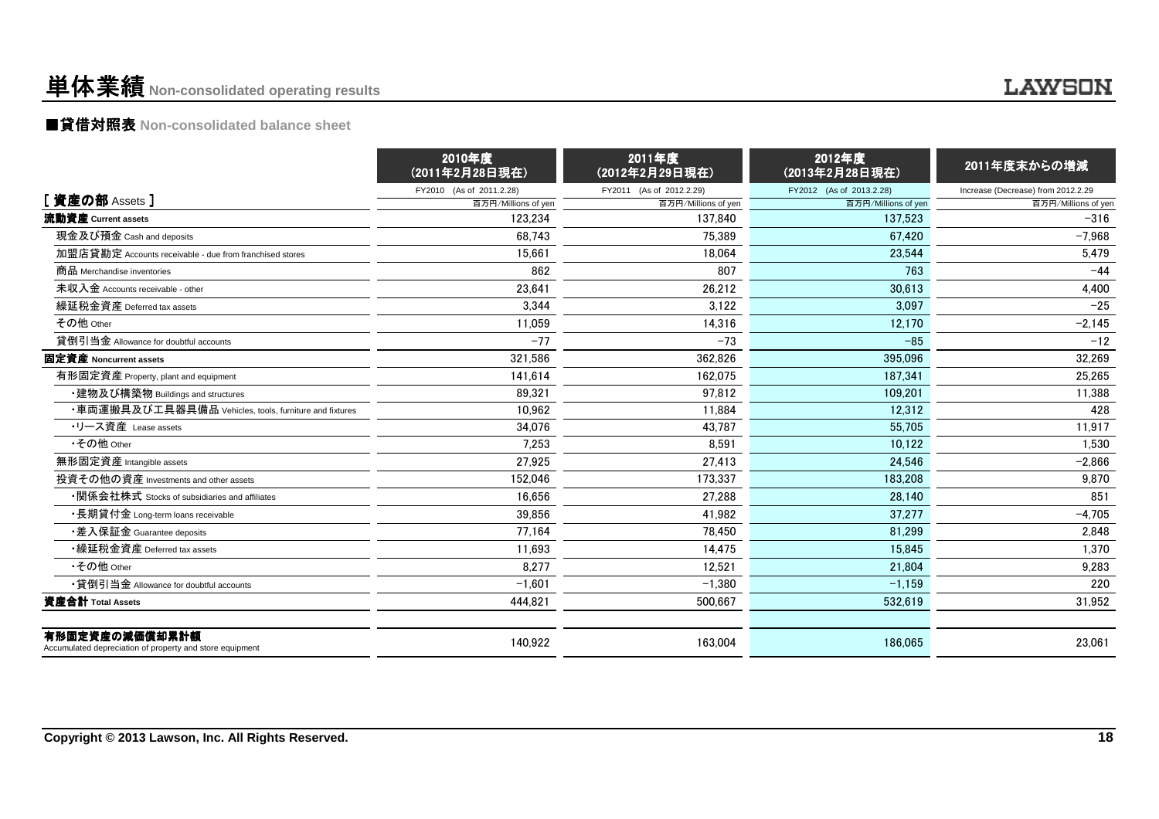## 単体業績**Non-consolidated operating results**

### ■貸借対照表 **Non-consolidated balance sheet**

|                                                                            | 2010年度<br>(2011年2月28日現在) | 2011年度<br>(2012年2月29日現在) | 2012年度<br>(2013年2月28日現在) | 2011年度末からの増減                       |
|----------------------------------------------------------------------------|--------------------------|--------------------------|--------------------------|------------------------------------|
|                                                                            | FY2010 (As of 2011.2.28) | FY2011 (As of 2012.2.29) | FY2012 (As of 2013.2.28) | Increase (Decrease) from 2012.2.29 |
| [ 資産の部 Assets ]                                                            | 百万円/Millions of yen      | 百万円/Millions of yen      | 百万円/Millions of yen      | 百万円/Millions of yen                |
| 流動資産 Current assets                                                        | 123.234                  | 137.840                  | 137.523                  | $-316$                             |
| 現金及び預金 Cash and deposits                                                   | 68.743                   | 75.389                   | 67.420                   | $-7.968$                           |
| 加盟店貸勘定 Accounts receivable - due from franchised stores                    | 15.661                   | 18.064                   | 23,544                   | 5,479                              |
| 商品 Merchandise inventories                                                 | 862                      | 807                      | 763                      | $-44$                              |
| 未収入金 Accounts receivable - other                                           | 23,641                   | 26,212                   | 30,613                   | 4,400                              |
| 繰延税金資産 Deferred tax assets                                                 | 3.344                    | 3.122                    | 3.097                    | $-25$                              |
| その他 Other                                                                  | 11.059                   | 14.316                   | 12.170                   | $-2,145$                           |
| 貸倒引当金 Allowance for doubtful accounts                                      | $-77$                    | $-73$                    | $-85$                    | $-12$                              |
| 固定資産 Noncurrent assets                                                     | 321.586                  | 362.826                  | 395.096                  | 32.269                             |
| 有形固定資産 Property, plant and equipment                                       | 141.614                  | 162.075                  | 187.341                  | 25,265                             |
| ・建物及び構築物 Buildings and structures                                          | 89.321                   | 97.812                   | 109.201                  | 11,388                             |
| ・車両運搬具及び工具器具備品 Vehicles, tools, furniture and fixtures                     | 10.962                   | 11.884                   | 12.312                   | 428                                |
| ・リース資産 Lease assets                                                        | 34.076                   | 43.787                   | 55.705                   | 11.917                             |
| •その他 Other                                                                 | 7.253                    | 8.591                    | 10.122                   | 1.530                              |
| 無形固定資産 Intangible assets                                                   | 27,925                   | 27,413                   | 24.546                   | $-2,866$                           |
| 投資その他の資産 Investments and other assets                                      | 152,046                  | 173.337                  | 183.208                  | 9,870                              |
| ・関係会社株式 Stocks of subsidiaries and affiliates                              | 16,656                   | 27,288                   | 28,140                   | 851                                |
| ・長期貸付金 Long-term loans receivable                                          | 39,856                   | 41.982                   | 37.277                   | $-4,705$                           |
| •差入保証金 Guarantee deposits                                                  | 77.164                   | 78.450                   | 81.299                   | 2,848                              |
| ・繰延税金資産 Deferred tax assets                                                | 11.693                   | 14.475                   | 15.845                   | 1.370                              |
| •その他 Other                                                                 | 8,277                    | 12.521                   | 21.804                   | 9,283                              |
| •貸倒引当金 Allowance for doubtful accounts                                     | $-1.601$                 | $-1.380$                 | $-1,159$                 | 220                                |
| 資産合計 Total Assets                                                          | 444,821                  | 500,667                  | 532,619                  | 31,952                             |
| 有形固定資産の減価償却累計額<br>Accumulated depreciation of property and store equipment | 140,922                  | 163.004                  | 186.065                  | 23.061                             |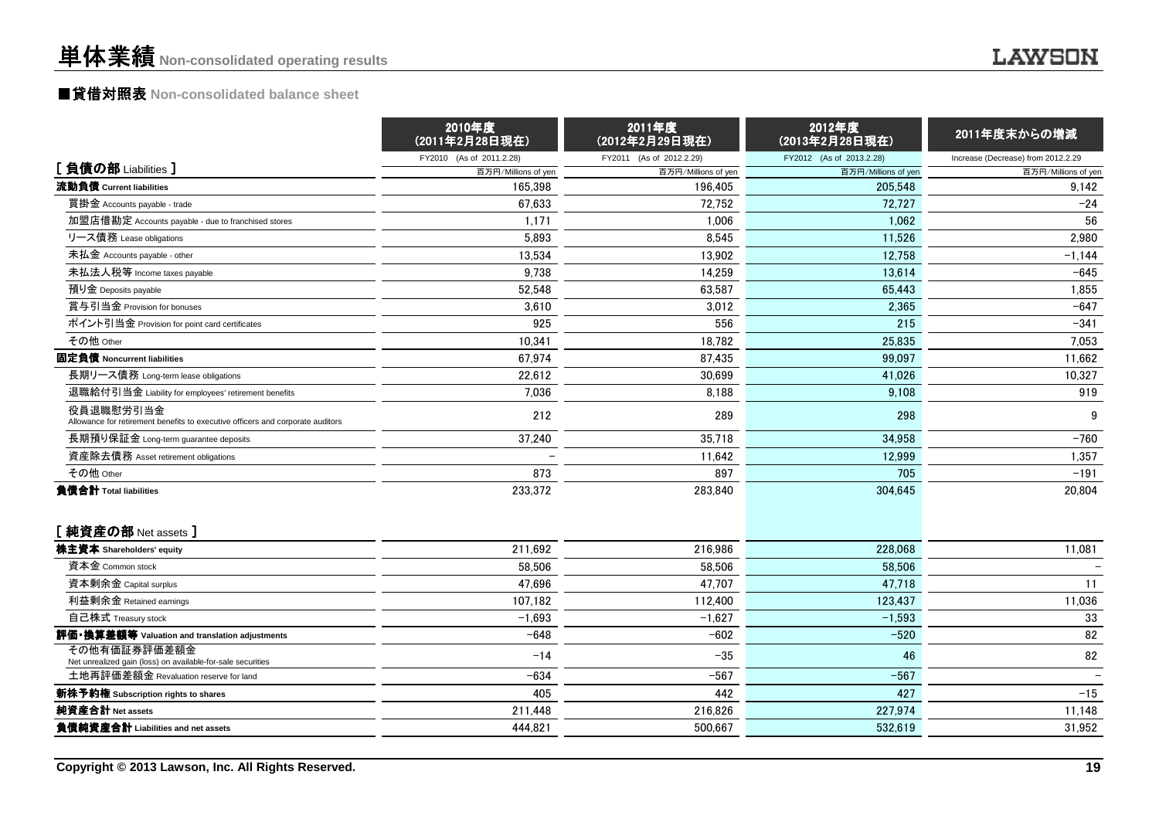## ■貸借対照表 **Non-consolidated balance sheet**

|                                                                                             | 2010年度<br>(2011年2月28日現在) | 2011年度<br>(2012年2月29日現在) | 2012年度<br>(2013年2月28日現在) | 2011年度末からの増減                       |
|---------------------------------------------------------------------------------------------|--------------------------|--------------------------|--------------------------|------------------------------------|
|                                                                                             | FY2010 (As of 2011.2.28) | FY2011 (As of 2012.2.29) | FY2012 (As of 2013.2.28) | Increase (Decrease) from 2012.2.29 |
| [負債の部 Liabilities]                                                                          | 百万円/Millions of yen      | 百万円/Millions of yen      | 百万円/Millions of yen      | 百万円/Millions of yen                |
| 流動負債 Current liabilities                                                                    | 165.398                  | 196.405                  | 205.548                  | 9,142                              |
| 買掛金 Accounts payable - trade                                                                | 67,633                   | 72,752                   | 72.727                   | $-24$                              |
| 加盟店借勘定 Accounts payable - due to franchised stores                                          | 1.171                    | 1.006                    | 1.062                    | 56                                 |
| リース債務 Lease obligations                                                                     | 5,893                    | 8,545                    | 11,526                   | 2,980                              |
| 未払金 Accounts payable - other                                                                | 13,534                   | 13,902                   | 12,758                   | $-1,144$                           |
| 未払法人税等 Income taxes payable                                                                 | 9,738                    | 14,259                   | 13,614                   | $-645$                             |
| 預り金 Deposits payable                                                                        | 52.548                   | 63.587                   | 65,443                   | 1,855                              |
| 賞与引当金 Provision for bonuses                                                                 | 3.610                    | 3,012                    | 2.365                    | $-647$                             |
| ポイント引当金 Provision for point card certificates                                               | 925                      | 556                      | 215                      | $-341$                             |
| その他 Other                                                                                   | 10,341                   | 18,782                   | 25,835                   | 7,053                              |
| 固定負債 Noncurrent liabilities                                                                 | 67,974                   | 87,435                   | 99.097                   | 11,662                             |
| 長期リース債務 Long-term lease obligations                                                         | 22.612                   | 30.699                   | 41,026                   | 10,327                             |
| 退職給付引当金 Liability for employees' retirement benefits                                        | 7.036                    | 8,188                    | 9,108                    | 919                                |
| 役員退職慰労引当金<br>Allowance for retirement benefits to executive officers and corporate auditors | 212                      | 289                      | 298                      | 9                                  |
| 長期預り保証金 Long-term guarantee deposits                                                        | 37,240                   | 35.718                   | 34,958                   | $-760$                             |
| 資産除去債務 Asset retirement obligations                                                         |                          | 11,642                   | 12.999                   | 1,357                              |
| その他 Other                                                                                   | 873                      | 897                      | 705                      | $-191$                             |
| 負債合計 Total liabilities                                                                      | 233,372                  | 283,840                  | 304,645                  | 20,804                             |
| [純資産の部 Net assets ]                                                                         |                          |                          |                          |                                    |
| 株主資本 Shareholders' equity                                                                   | 211,692                  | 216,986                  | 228,068                  | 11,081                             |
| 資本金 Common stock                                                                            | 58,506                   | 58.506                   | 58,506                   |                                    |
| 資本剰余金 Capital surplus                                                                       | 47,696                   | 47,707                   | 47,718                   | 11                                 |
| 利益剰余金 Retained earnings                                                                     | 107,182                  | 112,400                  | 123,437                  | 11,036                             |
| 自己株式 Treasury stock                                                                         | $-1.693$                 | $-1.627$                 | $-1,593$                 | 33                                 |
| 評価・換算差額等 Valuation and translation adjustments                                              | $-648$                   | $-602$                   | $-520$                   | 82                                 |
| その他有価証券評価差額金<br>Net unrealized gain (loss) on available-for-sale securities                 | $-14$                    | $-35$                    | 46                       | 82                                 |
| 土地再評価差額金 Revaluation reserve for land                                                       | $-634$                   | $-567$                   | $-567$                   |                                    |
| 新株予約権 Subscription rights to shares                                                         | 405                      | 442                      | 427                      | $-15$                              |
| 純資産合計 Net assets                                                                            | 211,448                  | 216,826                  | 227,974                  | 11,148                             |
| 負債純資産合計 Liabilities and net assets                                                          | 444,821                  | 500,667                  | 532,619                  | 31,952                             |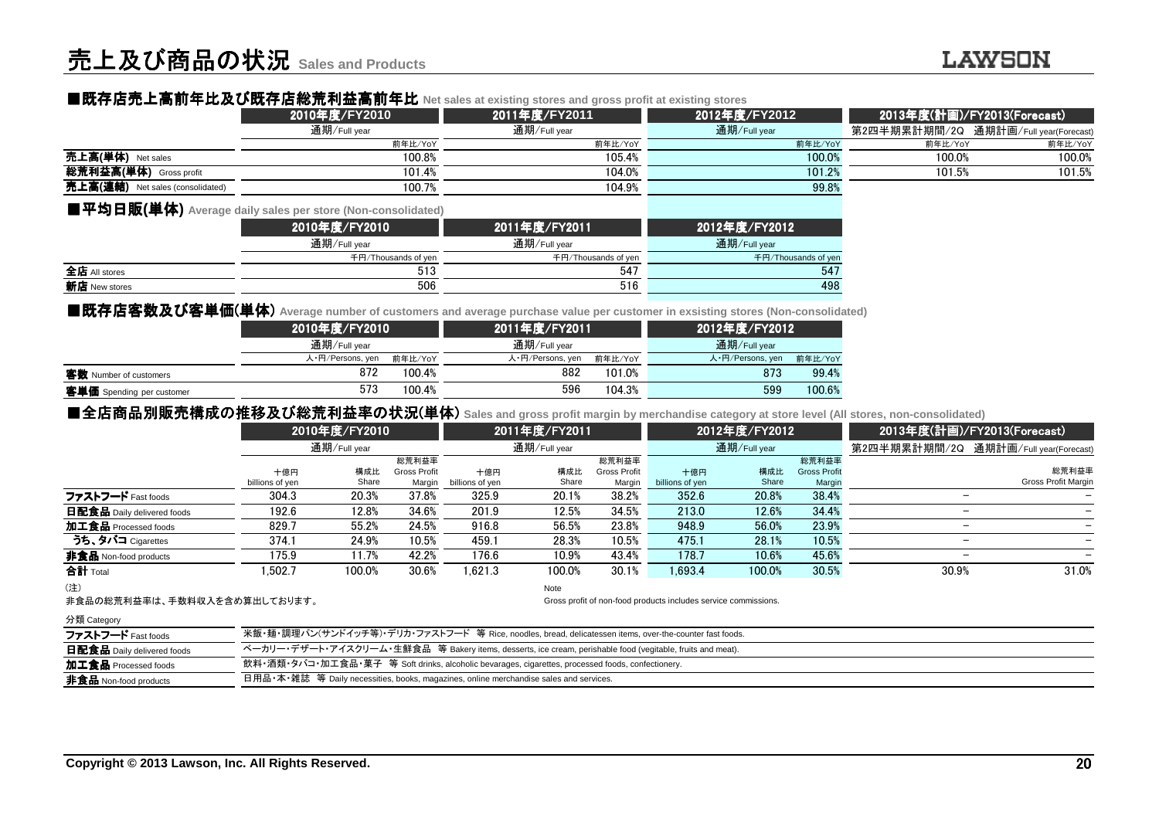### ■既存店売上高前年比及 ■既存店売上高前年比及び既存店総荒利益高前年比 び既存店総荒利益高前年比**Net sales at existing stores and gross profit at existing stores**

|                                  | 2010年度/FY2010 | 2011年度/FY2011 | 2012年度/FY2012 |         | 2013年度(計画)/FY2013(Forecast)           |
|----------------------------------|---------------|---------------|---------------|---------|---------------------------------------|
|                                  | 通期/Full vear  | 通期/Full vear  | 通期/Full year  |         | 第2四半期累計期間/2Q 通期計画/Full year(Forecast) |
|                                  | 前年比/YoY       | 前年比/YoY       | 前年比/YoY       | 前年比/YoY | 前年比/YoY                               |
| 売上高(単体) Net sales                | 100.8%        | 105.4%        | 100.0%        | 100.0%  | 100.0%                                |
| 総荒利益高(単体)<br>Gross profit        | 101.4%        | 104.0%        | 101.2%        | 101.5%  | 101.5%                                |
| 売上高(連結) Net sales (consolidated) | 100.7%        | 104.9%        | 99.8%         |         |                                       |
|                                  |               |               |               |         |                                       |

#### ■平均日販**(**単体**) Average daily sales per store (Non-consolidated)**

| .                    | 2010年度/FY2010       | 2011年度/FY2011       | 2012年度/FY2012       |
|----------------------|---------------------|---------------------|---------------------|
|                      | 通期/Full year        | 通期/Full year        | 通期/Full year        |
|                      | 千円/Thousands of yen | 千円/Thousands of yen | 千円/Thousands of yen |
| 全店 All stores        | 513                 | 547                 | 547                 |
| <b>新店</b> New stores | 506                 | 516                 | 498                 |
|                      |                     |                     |                     |

#### ■既存店客数及 ■既存店客数及び客単価(単体) **Average number of customers and average purchase value per customer in exsisting stores (Non-consolidated)**

|                           | 2010年度/FY2010    |         | 2011年度/FY2011    |         | 2012年度/FY2012    |         |  |
|---------------------------|------------------|---------|------------------|---------|------------------|---------|--|
|                           | 通期/Full year     |         | 通期/Full year     |         | 通期/Full year     |         |  |
|                           | 人・円/Persons, yen | 前年比/YoY | 人・円/Persons, yen | 前年比/YoY | 人·円/Persons, yen | 前年比/YoY |  |
| 客数 Number of customers    | 872              | 100.4%  | 882              | 101.0%  | 873              | 99.4%   |  |
| 客単価 Spending per customer | 573              | 100.4%  | 596              | 104.3%  | 599              | 100.6%  |  |
| .                         |                  |         |                  |         |                  |         |  |

日用品 •本 •雑誌 等 Daily necessities, books, magazines, online merchandise sales and services.

| ■全店商品別販売構成の推移及び総荒利益率の状況(単体) sales and gross profit margin by merchandise category at store level (All stores, non-consolidated) |                                                                                                            |               |                               |                        |               |                               |                                                                 |               |                               |                          |                                       |
|---------------------------------------------------------------------------------------------------------------------------------|------------------------------------------------------------------------------------------------------------|---------------|-------------------------------|------------------------|---------------|-------------------------------|-----------------------------------------------------------------|---------------|-------------------------------|--------------------------|---------------------------------------|
|                                                                                                                                 |                                                                                                            | 2010年度/FY2010 |                               |                        | 2011年度/FY2011 |                               |                                                                 | 2012年度/FY2012 |                               |                          | 2013年度(計画)/FY2013(Forecast)           |
|                                                                                                                                 |                                                                                                            | 通期/Full year  |                               |                        | 通期/Full year  |                               |                                                                 | 通期/Full year  |                               |                          | 第2四半期累計期間/2Q 通期計画/Full year(Forecast) |
|                                                                                                                                 |                                                                                                            |               | 総荒利益率                         |                        |               | 総荒利益率                         |                                                                 |               | 総荒利益率                         |                          |                                       |
|                                                                                                                                 | 十億円<br>billions of yen                                                                                     | 構成比<br>Share  | <b>Gross Profit</b><br>Margin | 十億円<br>billions of yen | 構成比<br>Share  | <b>Gross Profit</b><br>Margin | 十億円<br>billions of yen                                          | 構成比<br>Share  | <b>Gross Profit</b><br>Margin |                          | 総荒利益率<br>Gross Profit Margin          |
| ファストフード Fast foods                                                                                                              | 304.3                                                                                                      | 20.3%         | 37.8%                         | 325.9                  | 20.1%         | 38.2%                         | 352.6                                                           | 20.8%         | 38.4%                         | —                        |                                       |
| 日配食品 Daily delivered foods                                                                                                      | 192.6                                                                                                      | 12.8%         | 34.6%                         | 201.9                  | 12.5%         | 34.5%                         | 213.0                                                           | 12.6%         | 34.4%                         | -                        |                                       |
| 加工食品 Processed foods                                                                                                            | 829.7                                                                                                      | 55.2%         | 24.5%                         | 916.8                  | 56.5%         | 23.8%                         | 948.9                                                           | 56.0%         | 23.9%                         | $\overline{\phantom{0}}$ |                                       |
| うち、タバコ Cigarettes                                                                                                               | 374.1                                                                                                      | 24.9%         | 10.5%                         | 459.1                  | 28.3%         | 10.5%                         | 475.1                                                           | 28.1%         | 10.5%                         | -                        |                                       |
| 非食品 Non-food products                                                                                                           | 175.9                                                                                                      | 11.7%         | 42.2%                         | 176.6                  | 10.9%         | 43.4%                         | 178.7                                                           | 10.6%         | 45.6%                         | $\overline{\phantom{0}}$ |                                       |
| 合計 Total                                                                                                                        | 1.502.7                                                                                                    | 100.0%        | 30.6%                         | 1.621.3                | 100.0%        | 30.1%                         | 1.693.4                                                         | 100.0%        | 30.5%                         | 30.9%                    | 31.0%                                 |
| (注)                                                                                                                             |                                                                                                            |               |                               |                        | Note          |                               |                                                                 |               |                               |                          |                                       |
| 非食品の総荒利益率は、手数料収入を含め算出しております。                                                                                                    |                                                                                                            |               |                               |                        |               |                               | Gross profit of non-food products includes service commissions. |               |                               |                          |                                       |
| 分類 Category                                                                                                                     |                                                                                                            |               |                               |                        |               |                               |                                                                 |               |                               |                          |                                       |
| ファストフード Fast foods                                                                                                              | 米飯・麺・調理パン(サンドイッチ等)・デリカ・ファストフード 等 Rice, noodles, bread, delicatessen items, over-the-counter fast foods.    |               |                               |                        |               |                               |                                                                 |               |                               |                          |                                       |
| <b>日配食品</b> Daily delivered foods                                                                                               | ベーカリー・デザート・アイスクリーム・生鮮食品 等 Bakery items, desserts, ice cream, perishable food (vegitable, fruits and meat). |               |                               |                        |               |                               |                                                                 |               |                               |                          |                                       |
| 加工食品 Processed foods                                                                                                            | 飲料・酒類・タバコ・加工食品・菓子 等 Soft drinks, alcoholic bevarages, cigarettes, processed foods, confectionery.          |               |                               |                        |               |                               |                                                                 |               |                               |                          |                                       |

加工食品 Processed foods非食品 Non-food products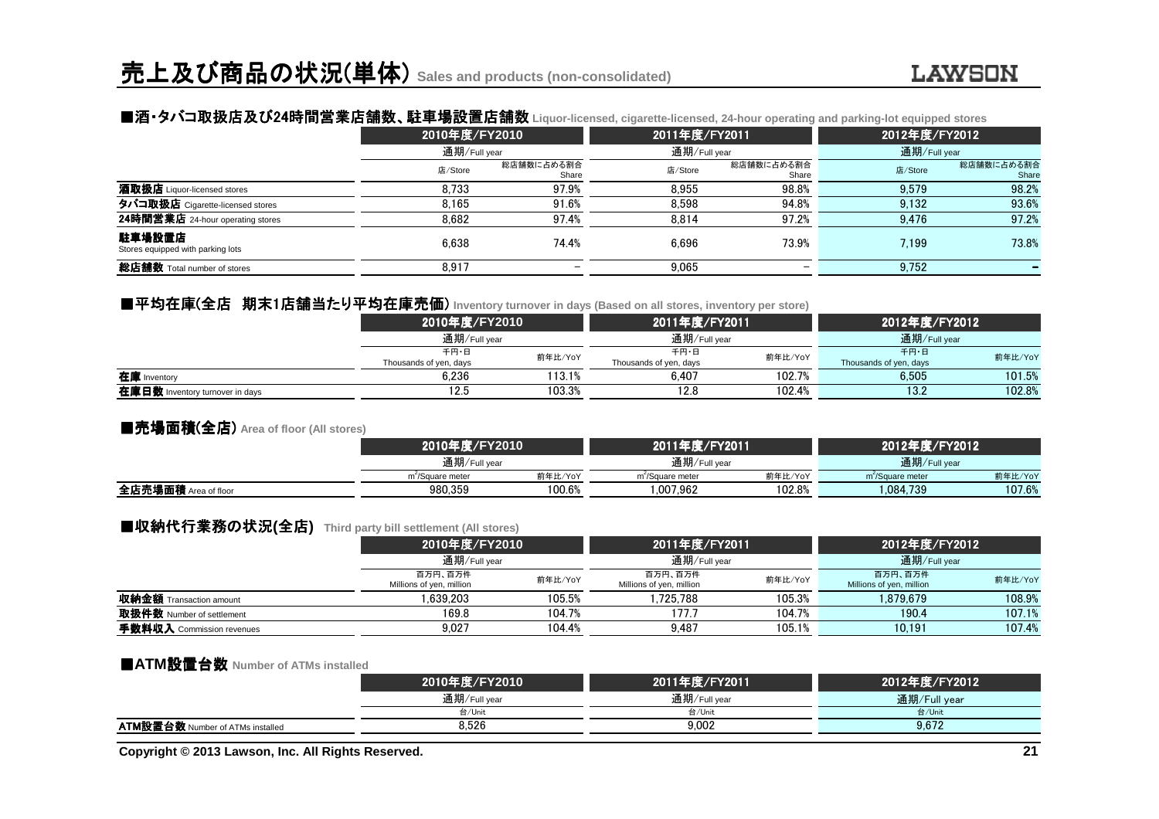### ■酒・タバコ取扱店及び24時間営業店舗数 時間営業店舗数、駐車場設置店舗数 、駐車場設置店舗数 **Liquor-licensed, cigarette-licensed, 24-hour operating and parking-lot equipped stores**

|                                             | 2010年度/FY2010 |                     | 2011年度/FY2011 |                     | 2012年度/FY2012 |                     |  |
|---------------------------------------------|---------------|---------------------|---------------|---------------------|---------------|---------------------|--|
|                                             | 通期/Full year  |                     | 通期/Full year  |                     | 通期/Full year  |                     |  |
|                                             | 店/Store       | 総店舗数に占める割合<br>Share | 店/Store       | 総店舗数に占める割合<br>Share | 店/Store       | 総店舗数に占める割合<br>Share |  |
| 酒取扱店 Liquor-licensed stores                 | 8.733         | 97.9%               | 8.955         | 98.8%               | 9.579         | 98.2%               |  |
| タバコ取扱店 Cigarette-licensed stores            | 8.165         | 91.6%               | 8.598         | 94.8%               | 9.132         | 93.6%               |  |
| 24時間営業店 24-hour operating stores            | 8.682         | 97.4%               | 8.814         | 97.2%               | 9.476         | 97.2%               |  |
| 駐車場設置店<br>Stores equipped with parking lots | 6.638         | 74.4%               | 6.696         | 73.9%               | 7.199         | 73.8%               |  |
| 総店舗数 Total number of stores                 | 8.917         |                     | 9.065         |                     | 9,752         |                     |  |

### ■平均在庫(全店 期末1店舗当たり平均在庫売価 たり平均在庫売価) **Inventory turnover in days (Based on all stores, inventory per store)**

|                                 | 2010年度/FY2010                  |         | 2011年度/FY2011                  |         | 2012年度/FY2012                  |         |
|---------------------------------|--------------------------------|---------|--------------------------------|---------|--------------------------------|---------|
|                                 | 通期/Full year                   |         | 通期/Full year                   |         | 通期/Full year                   |         |
|                                 | 千円・日<br>Thousands of yen, days | 前年比/YoY | 千円・日<br>Thousands of yen, days | 前年比/YoY | 千円・日<br>Thousands of yen, days | 前年比/YoY |
| 在庫 Inventory                    | 6.236                          | 113.1%  | 6.407                          | 102.7%  | 6.505                          | 101.5%  |
| 在庫日数 Inventory turnover in days | 12.5                           | 103.3%  | 12.8                           | 102.4%  | 13.2                           | 102.8%  |

#### ■売場面積(全店) **Area of floor (All stores)**

|                      |                              | 2010年度/FY2010 |                              | 2011年度/FY2011 | 2012年度/FY2012                |         |  |
|----------------------|------------------------------|---------------|------------------------------|---------------|------------------------------|---------|--|
|                      | 通期/Full year                 |               | 通期/Full year                 |               | 通期/Full year                 |         |  |
|                      | m <sup>2</sup> /Square meter | 前年比/YoY       | m <sup>2</sup> /Square meter | 前年比/YoY       | m <sup>2</sup> /Square meter | 前年比/YoY |  |
| 全店売場面積 Area of floor | 980.359                      | 100.6%        | .007.962                     | 102.8%        | 1.084.739                    | 107.6%  |  |
|                      |                              |               |                              |               |                              |         |  |

### ■収納代行業務の状況(全店) Third party bill settlement (All stores)<br>2010年度/FY2010

|                                |                                     | 2010年度/FY2010<br>通期/Full year |                                     | 2011年度/FY2011 | 2012年度/FY2012<br>通期/Full year       |         |
|--------------------------------|-------------------------------------|-------------------------------|-------------------------------------|---------------|-------------------------------------|---------|
|                                |                                     |                               |                                     | 通期/Full year  |                                     |         |
|                                | 百万円、百万件<br>Millions of yen, million | 前年比/YoY                       | 百万円、百万件<br>Millions of yen, million | 前年比/YoY       | 百万円、百万件<br>Millions of yen, million | 前年比/YoY |
| <b>収納金額</b> Transaction amount | 1.639.203                           | 105.5%                        | .725.788                            | 105.3%        | 1.879.679                           | 108.9%  |
| 取扱件数 Number of settlement      | 169.8                               | 104.7%                        | 177.7                               | 104.7%        | 190.4                               | 107.1%  |
| 手数料収入 Commission revenues      | 9.027                               | 104.4%                        | 9.487                               | 105.1%        | 10.191                              | 107.4%  |

### ■**ATM**設置台数 **Number of ATMs installed**

|                                         | 2010年度/FY2010 | 2011年度/FY2011 | 2012年度/FY2012 |
|-----------------------------------------|---------------|---------------|---------------|
|                                         | 通期/Full year  | 通期/Full year  | 通期/Full vear  |
|                                         | 台/Unit        | 台/Unit        | 台/Unit        |
| <b>ATM設置台数 Number of ATMs installed</b> | 8.526         | 9.002         | 9.672         |
|                                         |               |               |               |

**Copyright © 2013 Lawson, Inc. All Rights Reserved.**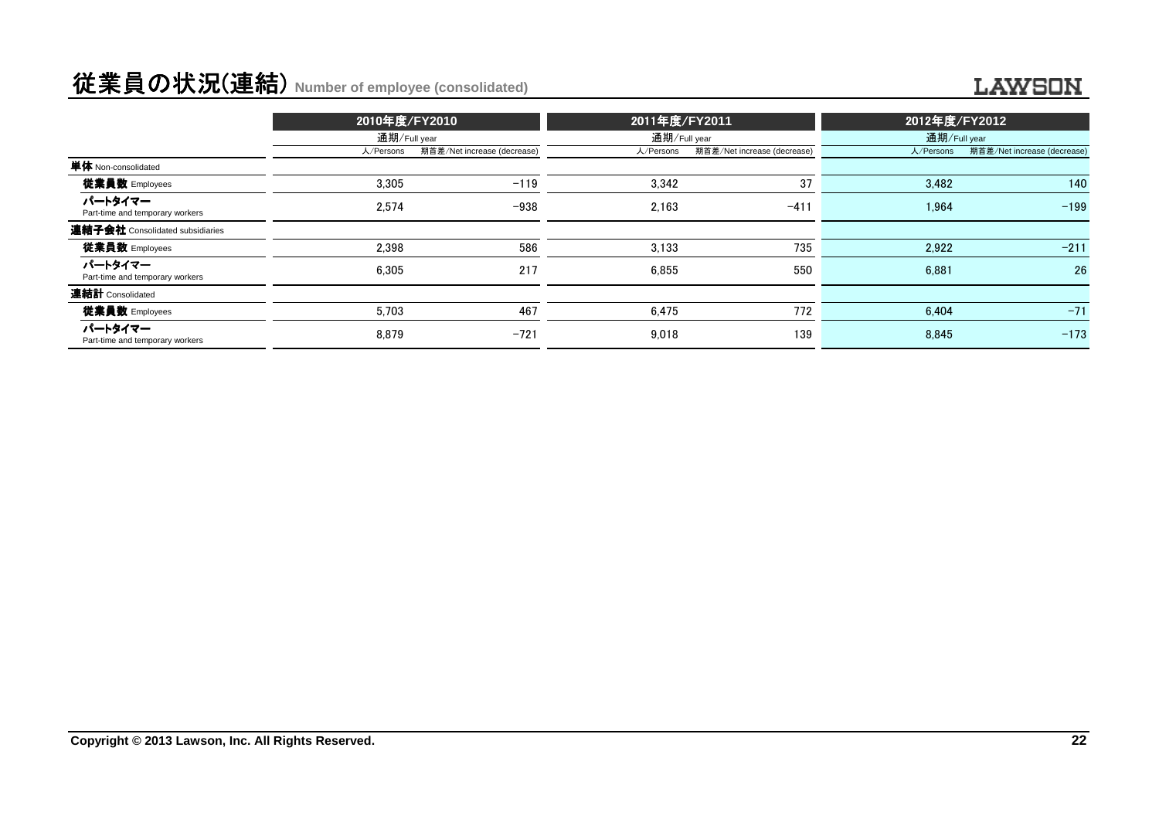## 従業員の状況(連結) **Number of employee (consolidated)**

#### **LAWSON**

|                                            | 2010年度/FY2010 |                             | 2011年度/FY2011 |                             | 2012年度/FY2012 |                             |
|--------------------------------------------|---------------|-----------------------------|---------------|-----------------------------|---------------|-----------------------------|
|                                            | 通期/Full year  |                             | 通期/Full year  |                             | 通期/Full year  |                             |
|                                            | 人/Persons     | 期首差/Net increase (decrease) | 人/Persons     | 期首差/Net increase (decrease) | 人/Persons     | 期首差/Net increase (decrease) |
| 単体 Non-consolidated                        |               |                             |               |                             |               |                             |
| 従業員数 Employees                             | 3,305         | $-119$                      | 3,342         | 37                          | 3.482         | 140                         |
| パートタイマー<br>Part-time and temporary workers | 2.574         | $-938$                      | 2.163         | $-411$                      | 1.964         | $-199$                      |
| 連結子会社 Consolidated subsidiaries            |               |                             |               |                             |               |                             |
| 従業員数 Employees                             | 2.398         | 586                         | 3.133         | 735                         | 2,922         | $-211$                      |
| パートタイマー<br>Part-time and temporary workers | 6.305         | 217                         | 6.855         | 550                         | 6.881         | 26                          |
| 連結計 Consolidated                           |               |                             |               |                             |               |                             |
| 従業員数 Employees                             | 5.703         | 467                         | 6.475         | 772                         | 6.404         | $-71$                       |
| パートタイマー<br>Part-time and temporary workers | 8.879         | $-721$                      | 9.018         | 139                         | 8.845         | $-173$                      |